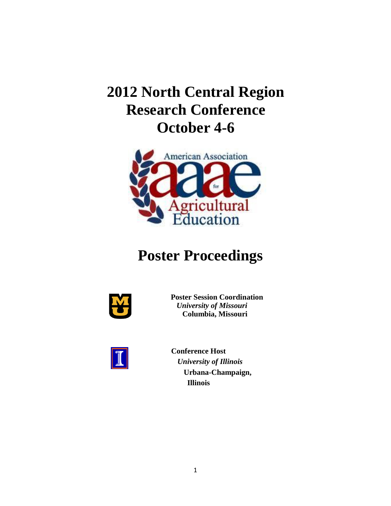# **2012 North Central Region Research Conference October 4-6**



# **Poster Proceedings**



**Poster Session Coordination** *University of Missouri*  **Columbia, Missouri**



**Conference Host** *University of Illinois*  **Urbana-Champaign, Illinois**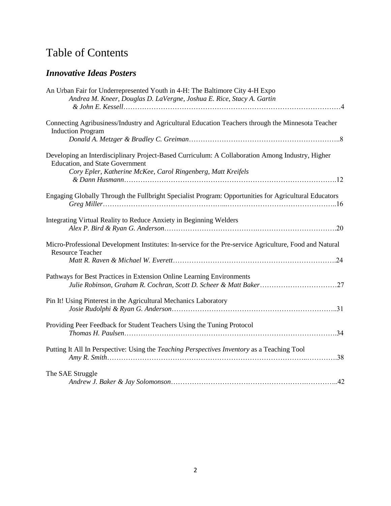# Table of Contents

# *Innovative Ideas Posters*

| An Urban Fair for Underrepresented Youth in 4-H: The Baltimore City 4-H Expo<br>Andrea M. Kneer, Douglas D. LaVergne, Joshua E. Rice, Stacy A. Gartin                                                      |     |
|------------------------------------------------------------------------------------------------------------------------------------------------------------------------------------------------------------|-----|
| Connecting Agribusiness/Industry and Agricultural Education Teachers through the Minnesota Teacher<br><b>Induction Program</b>                                                                             |     |
| Developing an Interdisciplinary Project-Based Curriculum: A Collaboration Among Industry, Higher<br><b>Education, and State Government</b><br>Cory Epler, Katherine McKee, Carol Ringenberg, Matt Kreifels |     |
| Engaging Globally Through the Fullbright Specialist Program: Opportunities for Agricultural Educators                                                                                                      |     |
| Integrating Virtual Reality to Reduce Anxiety in Beginning Welders                                                                                                                                         |     |
| Micro-Professional Development Institutes: In-service for the Pre-service Agriculture, Food and Natural<br><b>Resource Teacher</b>                                                                         |     |
| Pathways for Best Practices in Extension Online Learning Environments                                                                                                                                      |     |
| Pin It! Using Pinterest in the Agricultural Mechanics Laboratory                                                                                                                                           |     |
| Providing Peer Feedback for Student Teachers Using the Tuning Protocol                                                                                                                                     |     |
| Putting It All In Perspective: Using the Teaching Perspectives Inventory as a Teaching Tool                                                                                                                |     |
| The SAE Struggle                                                                                                                                                                                           | .42 |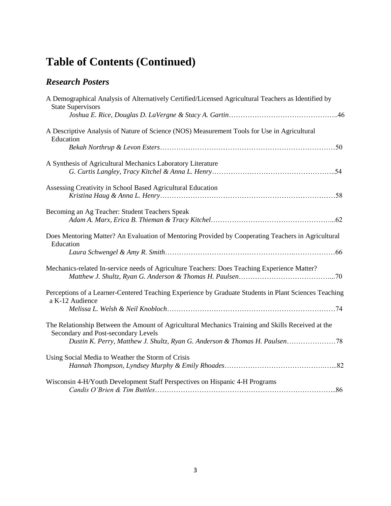# **Table of Contents (Continued)**

# *Research Posters*

| A Demographical Analysis of Alternatively Certified/Licensed Agricultural Teachers as Identified by<br><b>State Supervisors</b>          |  |
|------------------------------------------------------------------------------------------------------------------------------------------|--|
| A Descriptive Analysis of Nature of Science (NOS) Measurement Tools for Use in Agricultural<br>Education                                 |  |
|                                                                                                                                          |  |
| A Synthesis of Agricultural Mechanics Laboratory Literature                                                                              |  |
| Assessing Creativity in School Based Agricultural Education                                                                              |  |
| Becoming an Ag Teacher: Student Teachers Speak                                                                                           |  |
| Does Mentoring Matter? An Evaluation of Mentoring Provided by Cooperating Teachers in Agricultural<br>Education                          |  |
| Mechanics-related In-service needs of Agriculture Teachers: Does Teaching Experience Matter?                                             |  |
| Perceptions of a Learner-Centered Teaching Experience by Graduate Students in Plant Sciences Teaching<br>a K-12 Audience                 |  |
| The Relationship Between the Amount of Agricultural Mechanics Training and Skills Received at the<br>Secondary and Post-secondary Levels |  |
| Using Social Media to Weather the Storm of Crisis                                                                                        |  |
| Wisconsin 4-H/Youth Development Staff Perspectives on Hispanic 4-H Programs                                                              |  |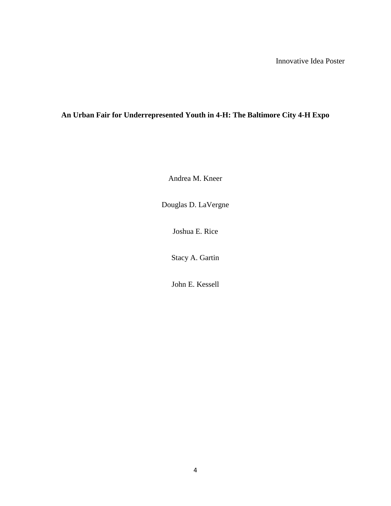# **An Urban Fair for Underrepresented Youth in 4-H: The Baltimore City 4-H Expo**

Andrea M. Kneer

Douglas D. LaVergne

Joshua E. Rice

Stacy A. Gartin

John E. Kessell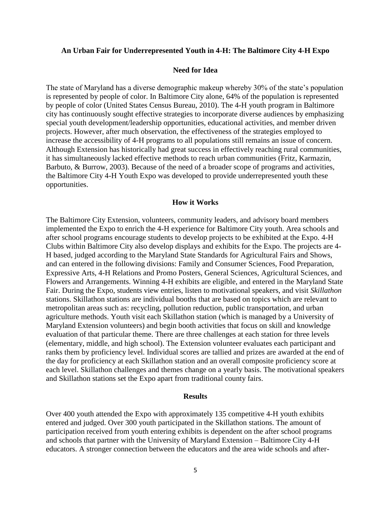#### **An Urban Fair for Underrepresented Youth in 4-H: The Baltimore City 4-H Expo**

### **Need for Idea**

The state of Maryland has a diverse demographic makeup whereby 30% of the state's population is represented by people of color. In Baltimore City alone, 64% of the population is represented by people of color (United States Census Bureau, 2010). The 4-H youth program in Baltimore city has continuously sought effective strategies to incorporate diverse audiences by emphasizing special youth development/leadership opportunities, educational activities, and member driven projects. However, after much observation, the effectiveness of the strategies employed to increase the accessibility of 4-H programs to all populations still remains an issue of concern. Although Extension has historically had great success in effectively reaching rural communities, it has simultaneously lacked effective methods to reach urban communities (Fritz, Karmazin, Barbuto, & Burrow, 2003). Because of the need of a broader scope of programs and activities, the Baltimore City 4-H Youth Expo was developed to provide underrepresented youth these opportunities.

#### **How it Works**

The Baltimore City Extension, volunteers, community leaders, and advisory board members implemented the Expo to enrich the 4-H experience for Baltimore City youth. Area schools and after school programs encourage students to develop projects to be exhibited at the Expo. 4-H Clubs within Baltimore City also develop displays and exhibits for the Expo. The projects are 4- H based, judged according to the Maryland State Standards for Agricultural Fairs and Shows, and can entered in the following divisions: Family and Consumer Sciences, Food Preparation, Expressive Arts, 4-H Relations and Promo Posters, General Sciences, Agricultural Sciences, and Flowers and Arrangements. Winning 4-H exhibits are eligible, and entered in the Maryland State Fair. During the Expo, students view entries, listen to motivational speakers, and visit *Skillathon* stations. Skillathon stations are individual booths that are based on topics which are relevant to metropolitan areas such as: recycling, pollution reduction, public transportation, and urban agriculture methods. Youth visit each Skillathon station (which is managed by a University of Maryland Extension volunteers) and begin booth activities that focus on skill and knowledge evaluation of that particular theme. There are three challenges at each station for three levels (elementary, middle, and high school). The Extension volunteer evaluates each participant and ranks them by proficiency level. Individual scores are tallied and prizes are awarded at the end of the day for proficiency at each Skillathon station and an overall composite proficiency score at each level. Skillathon challenges and themes change on a yearly basis. The motivational speakers and Skillathon stations set the Expo apart from traditional county fairs.

#### **Results**

Over 400 youth attended the Expo with approximately 135 competitive 4-H youth exhibits entered and judged. Over 300 youth participated in the Skillathon stations. The amount of participation received from youth entering exhibits is dependent on the after school programs and schools that partner with the University of Maryland Extension – Baltimore City 4-H educators. A stronger connection between the educators and the area wide schools and after-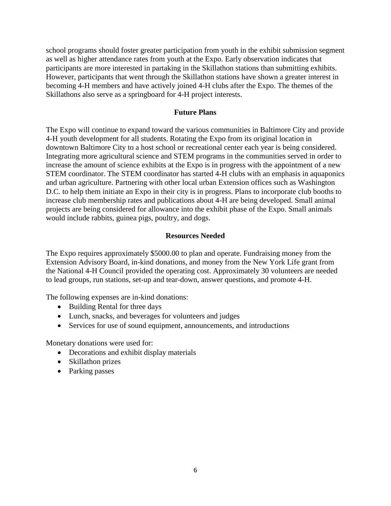school programs should foster greater participation from youth in the exhibit submission segment as well as higher attendance rates from youth at the Expo. Early observation indicates that participants are more interested in partaking in the Skillathon stations than submitting exhibits. However, participants that went through the Skillathon stations have shown a greater interest in becoming 4-H members and have actively joined 4-H clubs after the Expo. The themes of the Skillathons also serve as a springboard for 4-H project interests.

# **Future Plans**

The Expo will continue to expand toward the various communities in Baltimore City and provide 4-H youth development for all students. Rotating the Expo from its original location in downtown Baltimore City to a host school or recreational center each year is being considered. Integrating more agricultural science and STEM programs in the communities served in order to increase the amount of science exhibits at the Expo is in progress with the appointment of a new STEM coordinator. The STEM coordinator has started 4-H clubs with an emphasis in aquaponics and urban agriculture. Partnering with other local urban Extension offices such as Washington D.C. to help them initiate an Expo in their city is in progress. Plans to incorporate club booths to increase club membership rates and publications about 4-H are being developed. Small animal projects are being considered for allowance into the exhibit phase of the Expo. Small animals would include rabbits, guinea pigs, poultry, and dogs.

# **Resources Needed**

The Expo requires approximately \$5000.00 to plan and operate. Fundraising money from the Extension Advisory Board, in-kind donations, and money from the New York Life grant from the National 4-H Council provided the operating cost. Approximately 30 volunteers are needed to lead groups, run stations, set-up and tear-down, answer questions, and promote 4-H.

The following expenses are in-kind donations:

- Building Rental for three days
- Lunch, snacks, and beverages for volunteers and judges
- Services for use of sound equipment, announcements, and introductions

Monetary donations were used for:

- Decorations and exhibit display materials
- Skillathon prizes
- Parking passes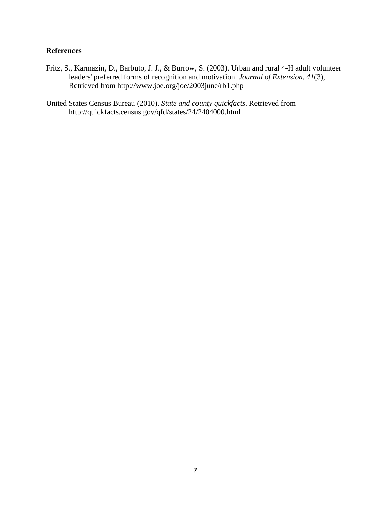# **References**

- Fritz, S., Karmazin, D., Barbuto, J. J., & Burrow, S. (2003). Urban and rural 4-H adult volunteer leaders' preferred forms of recognition and motivation. *Journal of Extension*, *41*(3), Retrieved from http://www.joe.org/joe/2003june/rb1.php
- United States Census Bureau (2010). *State and county quickfacts*. Retrieved from http://quickfacts.census.gov/qfd/states/24/2404000.html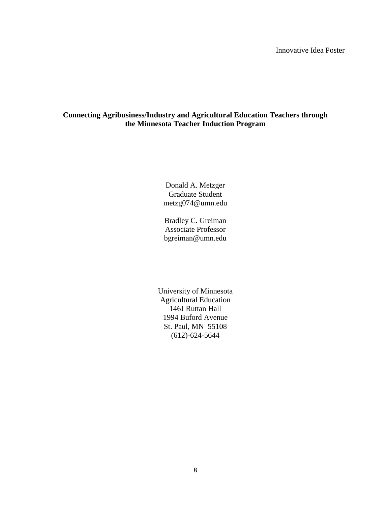# **Connecting Agribusiness/Industry and Agricultural Education Teachers through the Minnesota Teacher Induction Program**

Donald A. Metzger Graduate Student metzg074@umn.edu

Bradley C. Greiman Associate Professor bgreiman@umn.edu

University of Minnesota Agricultural Education 146J Ruttan Hall 1994 Buford Avenue St. Paul, MN 55108 (612)-624-5644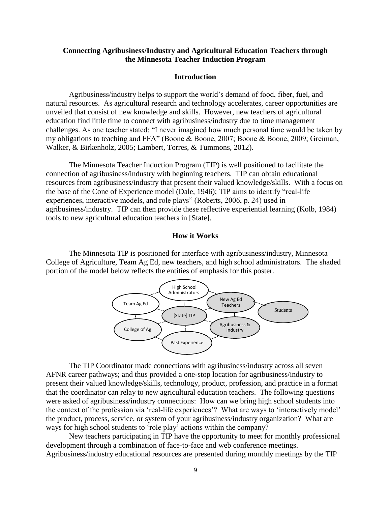# **Connecting Agribusiness/Industry and Agricultural Education Teachers through the Minnesota Teacher Induction Program**

#### **Introduction**

Agribusiness/industry helps to support the world's demand of food, fiber, fuel, and natural resources. As agricultural research and technology accelerates, career opportunities are unveiled that consist of new knowledge and skills. However, new teachers of agricultural education find little time to connect with agribusiness/industry due to time management challenges. As one teacher stated; "I never imagined how much personal time would be taken by my obligations to teaching and FFA" (Boone & Boone, 2007; Boone & Boone, 2009; Greiman, Walker, & Birkenholz, 2005; Lambert, Torres, & Tummons, 2012).

The Minnesota Teacher Induction Program (TIP) is well positioned to facilitate the connection of agribusiness/industry with beginning teachers. TIP can obtain educational resources from agribusiness/industry that present their valued knowledge/skills. With a focus on the base of the Cone of Experience model (Dale, 1946); TIP aims to identify "real-life experiences, interactive models, and role plays" (Roberts, 2006, p. 24) used in agribusiness/industry. TIP can then provide these reflective experiential learning (Kolb, 1984) tools to new agricultural education teachers in [State].

#### **How it Works**

The Minnesota TIP is positioned for interface with agribusiness/industry, Minnesota College of Agriculture, Team Ag Ed, new teachers, and high school administrators. The shaded portion of the model below reflects the entities of emphasis for this poster.



The TIP Coordinator made connections with agribusiness/industry across all seven AFNR career pathways; and thus provided a one-stop location for agribusiness/industry to present their valued knowledge/skills, technology, product, profession, and practice in a format that the coordinator can relay to new agricultural education teachers. The following questions were asked of agribusiness/industry connections: How can we bring high school students into the context of the profession via 'real-life experiences'? What are ways to 'interactively model' the product, process, service, or system of your agribusiness/industry organization? What are ways for high school students to 'role play' actions within the company?

New teachers participating in TIP have the opportunity to meet for monthly professional development through a combination of face-to-face and web conference meetings. Agribusiness/industry educational resources are presented during monthly meetings by the TIP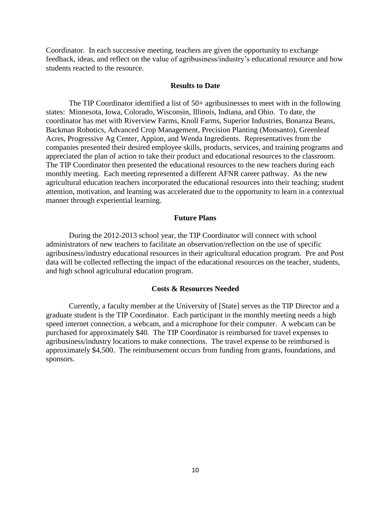Coordinator. In each successive meeting, teachers are given the opportunity to exchange feedback, ideas, and reflect on the value of agribusiness/industry's educational resource and how students reacted to the resource.

#### **Results to Date**

The TIP Coordinator identified a list of 50+ agribusinesses to meet with in the following states: Minnesota, Iowa, Colorado, Wisconsin, Illinois, Indiana, and Ohio. To date, the coordinator has met with Riverview Farms, Knoll Farms, Superior Industries, Bonanza Beans, Backman Robotics, Advanced Crop Management, Precision Planting (Monsanto), Greenleaf Acres, Progressive Ag Center, Appion, and Wenda Ingredients. Representatives from the companies presented their desired employee skills, products, services, and training programs and appreciated the plan of action to take their product and educational resources to the classroom. The TIP Coordinator then presented the educational resources to the new teachers during each monthly meeting. Each meeting represented a different AFNR career pathway. As the new agricultural education teachers incorporated the educational resources into their teaching; student attention, motivation, and learning was accelerated due to the opportunity to learn in a contextual manner through experiential learning.

#### **Future Plans**

During the 2012-2013 school year, the TIP Coordinator will connect with school administrators of new teachers to facilitate an observation/reflection on the use of specific agribusiness/industry educational resources in their agricultural education program. Pre and Post data will be collected reflecting the impact of the educational resources on the teacher, students, and high school agricultural education program.

#### **Costs & Resources Needed**

Currently, a faculty member at the University of [State] serves as the TIP Director and a graduate student is the TIP Coordinator. Each participant in the monthly meeting needs a high speed internet connection, a webcam, and a microphone for their computer. A webcam can be purchased for approximately \$40. The TIP Coordinator is reimbursed for travel expenses to agribusiness/industry locations to make connections. The travel expense to be reimbursed is approximately \$4,500. The reimbursement occurs from funding from grants, foundations, and sponsors.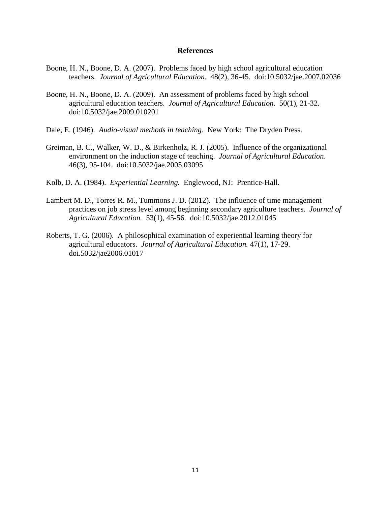#### **References**

- Boone, H. N., Boone, D. A. (2007). Problems faced by high school agricultural education teachers. *Journal of Agricultural Education.* 48(2), 36-45. doi:10.5032/jae.2007.02036
- Boone, H. N., Boone, D. A. (2009). An assessment of problems faced by high school agricultural education teachers. *Journal of Agricultural Education.* 50(1), 21-32. doi:10.5032/jae.2009.010201
- Dale, E. (1946). *Audio-visual methods in teaching*. New York: The Dryden Press.
- Greiman, B. C., Walker, W. D., & Birkenholz, R. J. (2005). Influence of the organizational environment on the induction stage of teaching. *Journal of Agricultural Education*. 46(3), 95-104. doi:10.5032/jae.2005.03095
- Kolb, D. A. (1984). *Experiential Learning.* Englewood, NJ: Prentice-Hall.
- Lambert M. D., Torres R. M., Tummons J. D. (2012). The influence of time management practices on job stress level among beginning secondary agriculture teachers. *Journal of Agricultural Education.* 53(1), 45-56. doi:10.5032/jae.2012.01045
- Roberts, T. G. (2006). A philosophical examination of experiential learning theory for agricultural educators. *Journal of Agricultural Education.* 47(1), 17-29. doi.5032/jae2006.01017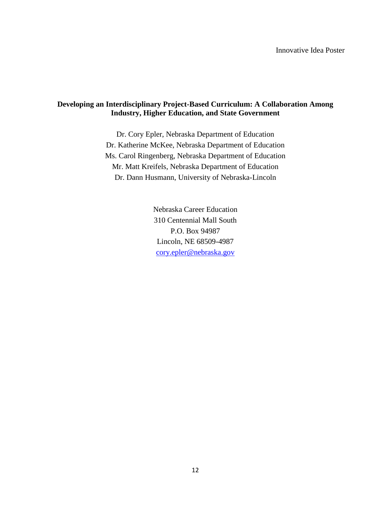# **Developing an Interdisciplinary Project-Based Curriculum: A Collaboration Among Industry, Higher Education, and State Government**

Dr. Cory Epler, Nebraska Department of Education Dr. Katherine McKee, Nebraska Department of Education Ms. Carol Ringenberg, Nebraska Department of Education Mr. Matt Kreifels, Nebraska Department of Education Dr. Dann Husmann, University of Nebraska-Lincoln

> Nebraska Career Education 310 Centennial Mall South P.O. Box 94987 Lincoln, NE 68509-4987 [cory.epler@nebraska.gov](mailto:cory.epler@nebraska.gov)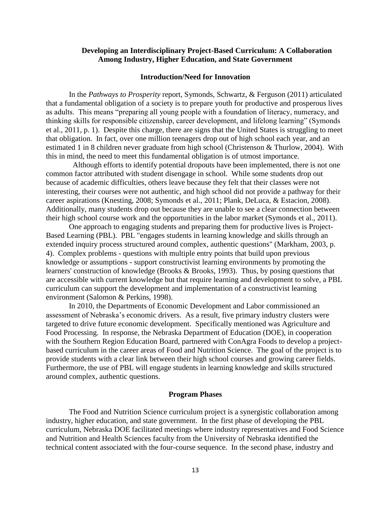### **Developing an Interdisciplinary Project-Based Curriculum: A Collaboration Among Industry, Higher Education, and State Government**

#### **Introduction/Need for Innovation**

In the *Pathways to Prosperity* report, Symonds, Schwartz, & Ferguson (2011) articulated that a fundamental obligation of a society is to prepare youth for productive and prosperous lives as adults. This means "preparing all young people with a foundation of literacy, numeracy, and thinking skills for responsible citizenship, career development, and lifelong learning" (Symonds et al., 2011, p. 1). Despite this charge, there are signs that the United States is struggling to meet that obligation. In fact, over one million teenagers drop out of high school each year, and an estimated 1 in 8 children never graduate from high school (Christenson & Thurlow, 2004). With this in mind, the need to meet this fundamental obligation is of utmost importance.

 Although efforts to identify potential dropouts have been implemented, there is not one common factor attributed with student disengage in school. While some students drop out because of academic difficulties, others leave because they felt that their classes were not interesting, their courses were not authentic, and high school did not provide a pathway for their career aspirations (Knesting, 2008; Symonds et al., 2011; Plank, DeLuca, & Estacion, 2008). Additionally, many students drop out because they are unable to see a clear connection between their high school course work and the opportunities in the labor market (Symonds et al., 2011).

One approach to engaging students and preparing them for productive lives is Project-Based Learning (PBL). PBL "engages students in learning knowledge and skills through an extended inquiry process structured around complex, authentic questions" (Markham, 2003, p. 4). Complex problems - questions with multiple entry points that build upon previous knowledge or assumptions - support constructivist learning environments by promoting the learners' construction of knowledge (Brooks & Brooks, 1993). Thus, by posing questions that are accessible with current knowledge but that require learning and development to solve, a PBL curriculum can support the development and implementation of a constructivist learning environment (Salomon & Perkins, 1998).

In 2010, the Departments of Economic Development and Labor commissioned an assessment of Nebraska's economic drivers. As a result, five primary industry clusters were targeted to drive future economic development. Specifically mentioned was Agriculture and Food Processing. In response, the Nebraska Department of Education (DOE), in cooperation with the Southern Region Education Board, partnered with ConAgra Foods to develop a projectbased curriculum in the career areas of Food and Nutrition Science. The goal of the project is to provide students with a clear link between their high school courses and growing career fields. Furthermore, the use of PBL will engage students in learning knowledge and skills structured around complex, authentic questions.

#### **Program Phases**

The Food and Nutrition Science curriculum project is a synergistic collaboration among industry, higher education, and state government. In the first phase of developing the PBL curriculum, Nebraska DOE facilitated meetings where industry representatives and Food Science and Nutrition and Health Sciences faculty from the University of Nebraska identified the technical content associated with the four-course sequence. In the second phase, industry and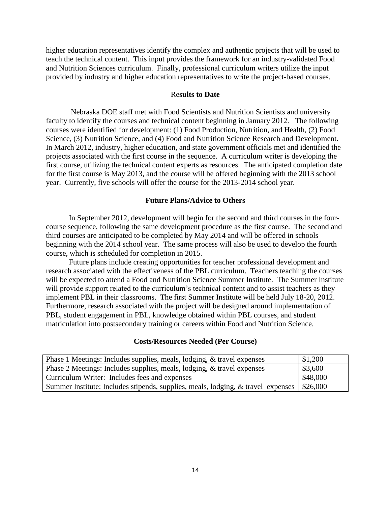higher education representatives identify the complex and authentic projects that will be used to teach the technical content. This input provides the framework for an industry-validated Food and Nutrition Sciences curriculum. Finally, professional curriculum writers utilize the input provided by industry and higher education representatives to write the project-based courses.

#### Re**sults to Date**

Nebraska DOE staff met with Food Scientists and Nutrition Scientists and university faculty to identify the courses and technical content beginning in January 2012. The following courses were identified for development: (1) Food Production, Nutrition, and Health, (2) Food Science, (3) Nutrition Science, and (4) Food and Nutrition Science Research and Development. In March 2012, industry, higher education, and state government officials met and identified the projects associated with the first course in the sequence. A curriculum writer is developing the first course, utilizing the technical content experts as resources. The anticipated completion date for the first course is May 2013, and the course will be offered beginning with the 2013 school year. Currently, five schools will offer the course for the 2013-2014 school year.

# **Future Plans/Advice to Others**

In September 2012, development will begin for the second and third courses in the fourcourse sequence, following the same development procedure as the first course. The second and third courses are anticipated to be completed by May 2014 and will be offered in schools beginning with the 2014 school year. The same process will also be used to develop the fourth course, which is scheduled for completion in 2015.

Future plans include creating opportunities for teacher professional development and research associated with the effectiveness of the PBL curriculum. Teachers teaching the courses will be expected to attend a Food and Nutrition Science Summer Institute. The Summer Institute will provide support related to the curriculum's technical content and to assist teachers as they implement PBL in their classrooms. The first Summer Institute will be held July 18-20, 2012. Furthermore, research associated with the project will be designed around implementation of PBL, student engagement in PBL, knowledge obtained within PBL courses, and student matriculation into postsecondary training or careers within Food and Nutrition Science.

#### **Costs/Resources Needed (Per Course)**

| Phase 1 Meetings: Includes supplies, meals, lodging, & travel expenses           | \$1,200            |
|----------------------------------------------------------------------------------|--------------------|
| Phase 2 Meetings: Includes supplies, meals, lodging, & travel expenses           | \$3,600            |
| Curriculum Writer: Includes fees and expenses                                    | \$48,000           |
| Summer Institute: Includes stipends, supplies, meals, lodging, & travel expenses | $\frac{1}{26,000}$ |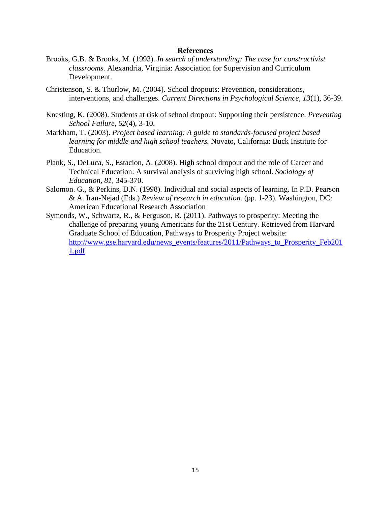#### **References**

- Brooks, G.B. & Brooks, M. (1993). *In search of understanding: The case for constructivist classrooms.* Alexandria, Virginia: Association for Supervision and Curriculum Development.
- Christenson, S. & Thurlow, M. (2004). School dropouts: Prevention, considerations, interventions, and challenges. *Current Directions in Psychological Science, 13*(1), 36-39.
- Knesting, K. (2008). Students at risk of school dropout: Supporting their persistence. *Preventing School Failure, 52*(4), 3-10.
- Markham, T. (2003). *Project based learning: A guide to standards-focused project based learning for middle and high school teachers.* Novato, California: Buck Institute for Education.
- Plank, S., DeLuca, S., Estacion, A. (2008). High school dropout and the role of Career and Technical Education: A survival analysis of surviving high school. *Sociology of Education, 81,* 345-370.
- Salomon. G., & Perkins, D.N. (1998). Individual and social aspects of learning. In P.D. Pearson & A. Iran-Nejad (Eds.) *Review of research in education.* (pp. 1-23). Washington, DC: American Educational Research Association
- Symonds, W., Schwartz, R., & Ferguson, R. (2011). Pathways to prosperity: Meeting the challenge of preparing young Americans for the 21st Century. Retrieved from Harvard Graduate School of Education, Pathways to Prosperity Project website: [http://www.gse.harvard.edu/news\\_events/features/2011/Pathways\\_to\\_Prosperity\\_Feb201](http://www.gse.harvard.edu/news_events/features/2011/Pathways_to_Prosperity_Feb2011.pdf) [1.pdf](http://www.gse.harvard.edu/news_events/features/2011/Pathways_to_Prosperity_Feb2011.pdf)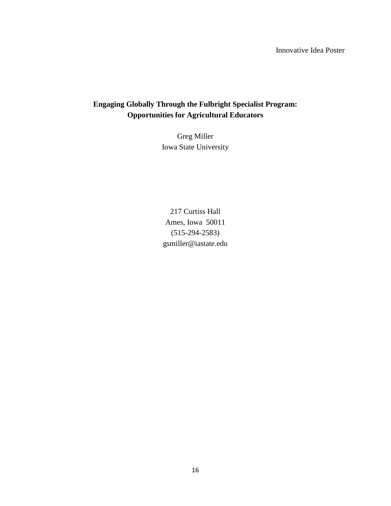# **Engaging Globally Through the Fulbright Specialist Program: Opportunities for Agricultural Educators**

Greg Miller Iowa State University

217 Curtiss Hall Ames, Iowa 50011 (515-294-2583) gsmiller@iastate.edu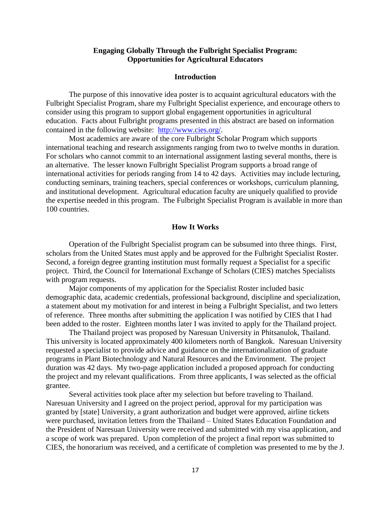## **Engaging Globally Through the Fulbright Specialist Program: Opportunities for Agricultural Educators**

# **Introduction**

The purpose of this innovative idea poster is to acquaint agricultural educators with the Fulbright Specialist Program, share my Fulbright Specialist experience, and encourage others to consider using this program to support global engagement opportunities in agricultural education. Facts about Fulbright programs presented in this abstract are based on information contained in the following website: [http://www.cies.org/.](http://www.cies.org/)

Most academics are aware of the core Fulbright Scholar Program which supports international teaching and research assignments ranging from two to twelve months in duration. For scholars who cannot commit to an international assignment lasting several months, there is an alternative. The lesser known Fulbright Specialist Program supports a broad range of international activities for periods ranging from 14 to 42 days. Activities may include lecturing, conducting seminars, training teachers, special conferences or workshops, curriculum planning, and institutional development. Agricultural education faculty are uniquely qualified to provide the expertise needed in this program. The Fulbright Specialist Program is available in more than 100 countries.

#### **How It Works**

Operation of the Fulbright Specialist program can be subsumed into three things. First, scholars from the United States must apply and be approved for the Fulbright Specialist Roster. Second, a foreign degree granting institution must formally request a Specialist for a specific project. Third, the Council for International Exchange of Scholars (CIES) matches Specialists with program requests.

Major components of my application for the Specialist Roster included basic demographic data, academic credentials, professional background, discipline and specialization, a statement about my motivation for and interest in being a Fulbright Specialist, and two letters of reference. Three months after submitting the application I was notified by CIES that I had been added to the roster. Eighteen months later I was invited to apply for the Thailand project.

The Thailand project was proposed by Naresuan University in Phitsanulok, Thailand. This university is located approximately 400 kilometers north of Bangkok. Naresuan University requested a specialist to provide advice and guidance on the internationalization of graduate programs in Plant Biotechnology and Natural Resources and the Environment. The project duration was 42 days. My two-page application included a proposed approach for conducting the project and my relevant qualifications. From three applicants, I was selected as the official grantee.

Several activities took place after my selection but before traveling to Thailand. Naresuan University and I agreed on the project period, approval for my participation was granted by [state] University, a grant authorization and budget were approved, airline tickets were purchased, invitation letters from the Thailand – United States Education Foundation and the President of Naresuan University were received and submitted with my visa application, and a scope of work was prepared. Upon completion of the project a final report was submitted to CIES, the honorarium was received, and a certificate of completion was presented to me by the J.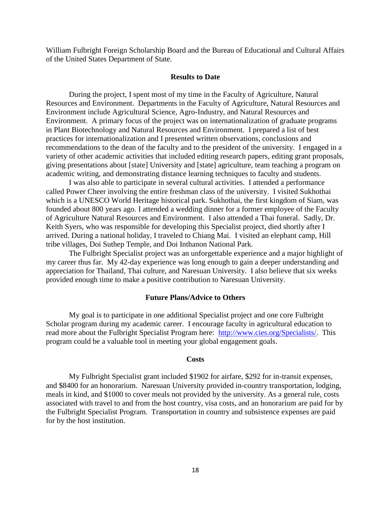William Fulbright Foreign Scholarship Board and the Bureau of Educational and Cultural Affairs of the United States Department of State.

#### **Results to Date**

During the project, I spent most of my time in the Faculty of Agriculture, Natural Resources and Environment. Departments in the Faculty of Agriculture, Natural Resources and Environment include Agricultural Science, Agro-Industry, and Natural Resources and Environment. A primary focus of the project was on internationalization of graduate programs in Plant Biotechnology and Natural Resources and Environment. I prepared a list of best practices for internationalization and I presented written observations, conclusions and recommendations to the dean of the faculty and to the president of the university. I engaged in a variety of other academic activities that included editing research papers, editing grant proposals, giving presentations about [state] University and [state] agriculture, team teaching a program on academic writing, and demonstrating distance learning techniques to faculty and students.

I was also able to participate in several cultural activities. I attended a performance called Power Cheer involving the entire freshman class of the university. I visited Sukhothai which is a UNESCO World Heritage historical park. Sukhothai, the first kingdom of Siam, was founded about 800 years ago. I attended a wedding dinner for a former employee of the Faculty of Agriculture Natural Resources and Environment. I also attended a Thai funeral. Sadly, Dr. Keith Syers, who was responsible for developing this Specialist project, died shortly after I arrived. During a national holiday, I traveled to Chiang Mai. I visited an elephant camp, Hill tribe villages, Doi Suthep Temple, and Doi Inthanon National Park.

The Fulbright Specialist project was an unforgettable experience and a major highlight of my career thus far. My 42-day experience was long enough to gain a deeper understanding and appreciation for Thailand, Thai culture, and Naresuan University. I also believe that six weeks provided enough time to make a positive contribution to Naresuan University.

#### **Future Plans/Advice to Others**

My goal is to participate in one additional Specialist project and one core Fulbright Scholar program during my academic career. I encourage faculty in agricultural education to read more about the Fulbright Specialist Program here: [http://www.cies.org/Specialists/.](http://www.cies.org/Specialists/) This program could be a valuable tool in meeting your global engagement goals.

#### **Costs**

My Fulbright Specialist grant included \$1902 for airfare, \$292 for in-transit expenses, and \$8400 for an honorarium. Naresuan University provided in-country transportation, lodging, meals in kind, and \$1000 to cover meals not provided by the university. As a general rule, costs associated with travel to and from the host country, visa costs, and an honorarium are paid for by the Fulbright Specialist Program. Transportation in country and subsistence expenses are paid for by the host institution.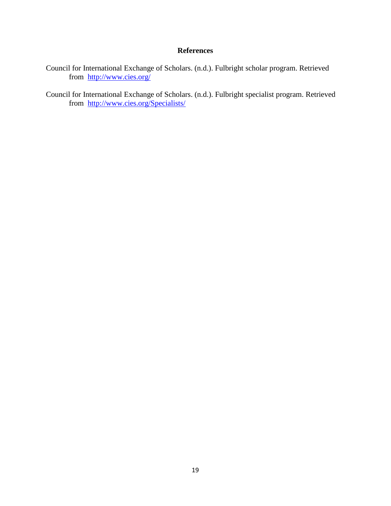# **References**

- Council for International Exchange of Scholars. (n.d.). Fulbright scholar program. Retrieved from <http://www.cies.org/>
- Council for International Exchange of Scholars. (n.d.). Fulbright specialist program. Retrieved from <http://www.cies.org/Specialists/>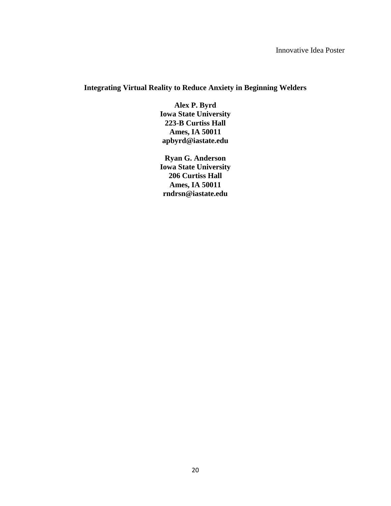# **Integrating Virtual Reality to Reduce Anxiety in Beginning Welders**

**Alex P. Byrd Iowa State University 223-B Curtiss Hall Ames, IA 50011 apbyrd@iastate.edu**

**Ryan G. Anderson Iowa State University 206 Curtiss Hall Ames, IA 50011 rndrsn@iastate.edu**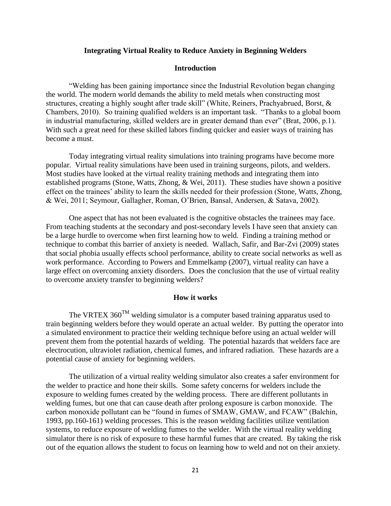#### **Integrating Virtual Reality to Reduce Anxiety in Beginning Welders**

## **Introduction**

"Welding has been gaining importance since the Industrial Revolution began changing the world. The modern world demands the ability to meld metals when constructing most structures, creating a highly sought after trade skill" (White, Reiners, Prachyabrued, Borst, & Chambers, 2010). So training qualified welders is an important task. "Thanks to a global boom in industrial manufacturing, skilled welders are in greater demand than ever" (Brat, 2006, p.1). With such a great need for these skilled labors finding quicker and easier ways of training has become a must.

Today integrating virtual reality simulations into training programs have become more popular. Virtual reality simulations have been used in training surgeons, pilots, and welders. Most studies have looked at the virtual reality training methods and integrating them into established programs (Stone, Watts, Zhong, & Wei, 2011). These studies have shown a positive effect on the trainees' ability to learn the skills needed for their profession (Stone, Watts, Zhong, & Wei, 2011; Seymour, Gallagher, Roman, O'Brien, Bansal, Andersen, & Satava, 2002).

One aspect that has not been evaluated is the cognitive obstacles the trainees may face. From teaching students at the secondary and post-secondary levels I have seen that anxiety can be a large hurdle to overcome when first learning how to weld. Finding a training method or technique to combat this barrier of anxiety is needed. Wallach, Safir, and Bar-Zvi (2009) states that social phobia usually effects school performance, ability to create social networks as well as work performance. According to Powers and Emmelkamp (2007), virtual reality can have a large effect on overcoming anxiety disorders. Does the conclusion that the use of virtual reality to overcome anxiety transfer to beginning welders?

#### **How it works**

The VRTEX 360<sup>TM</sup> welding simulator is a computer based training apparatus used to train beginning welders before they would operate an actual welder. By putting the operator into a simulated environment to practice their welding technique before using an actual welder will prevent them from the potential hazards of welding. The potential hazards that welders face are electrocution, ultraviolet radiation, chemical fumes, and infrared radiation. These hazards are a potential cause of anxiety for beginning welders.

The utilization of a virtual reality welding simulator also creates a safer environment for the welder to practice and hone their skills. Some safety concerns for welders include the exposure to welding fumes created by the welding process. There are different pollutants in welding fumes, but one that can cause death after prolong exposure is carbon monoxide. The carbon monoxide pollutant can be "found in fumes of SMAW, GMAW, and FCAW" (Balchin, 1993, pp.160-161) welding processes. This is the reason welding facilities utilize ventilation systems, to reduce exposure of welding fumes to the welder. With the virtual reality welding simulator there is no risk of exposure to these harmful fumes that are created. By taking the risk out of the equation allows the student to focus on learning how to weld and not on their anxiety.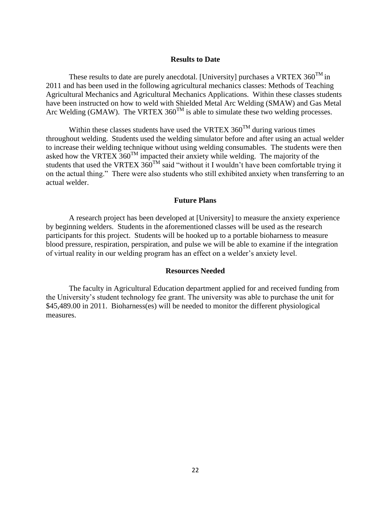#### **Results to Date**

These results to date are purely anecdotal. [University] purchases a VRTEX  $360^{TM}$  in 2011 and has been used in the following agricultural mechanics classes: Methods of Teaching Agricultural Mechanics and Agricultural Mechanics Applications. Within these classes students have been instructed on how to weld with Shielded Metal Arc Welding (SMAW) and Gas Metal Arc Welding (GMAW). The VRTEX 360<sup>TM</sup> is able to simulate these two welding processes.

Within these classes students have used the VRTEX  $360^{TM}$  during various times throughout welding. Students used the welding simulator before and after using an actual welder to increase their welding technique without using welding consumables. The students were then asked how the VRTEX  $360^{TM}$  impacted their anxiety while welding. The majority of the students that used the VRTEX  $360^{TM}$  said "without it I wouldn't have been comfortable trying it on the actual thing." There were also students who still exhibited anxiety when transferring to an actual welder.

### **Future Plans**

A research project has been developed at [University] to measure the anxiety experience by beginning welders. Students in the aforementioned classes will be used as the research participants for this project. Students will be hooked up to a portable bioharness to measure blood pressure, respiration, perspiration, and pulse we will be able to examine if the integration of virtual reality in our welding program has an effect on a welder's anxiety level.

# **Resources Needed**

The faculty in Agricultural Education department applied for and received funding from the University's student technology fee grant. The university was able to purchase the unit for \$45,489.00 in 2011. Bioharness(es) will be needed to monitor the different physiological measures.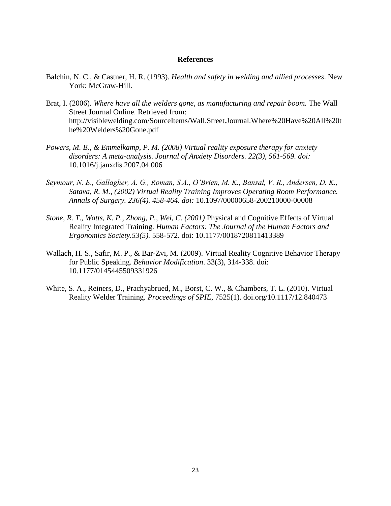#### **References**

- Balchin, N. C., & Castner, H. R. (1993). *Health and safety in welding and allied processes*. New York: McGraw-Hill.
- Brat, I. (2006). *Where have all the welders gone, as manufacturing and repair boom.* The Wall Street Journal Online. Retrieved from: http://visiblewelding.com/SourceItems/Wall.Street.Journal.Where%20Have%20All%20t he%20Welders%20Gone.pdf
- *Powers, M. B., & Emmelkamp, P. M. (2008) Virtual reality exposure therapy for anxiety disorders: A meta-analysis. Journal of Anxiety Disorders. 22(3), 561-569. doi:*  10.1016/j.janxdis.2007.04.006
- *Seymour, N. E., Gallagher, A. G., Roman, S.A., O'Brien, M. K., Bansal, V. R., Andersen, D. K., Satava, R. M., (2002) Virtual Reality Training Improves Operating Room Performance. Annals of Surgery. 236(4). 458-464. doi:* 10.1097/00000658-200210000-00008
- *Stone, R. T., Watts, K. P., Zhong, P., Wei, C. (2001)* Physical and Cognitive Effects of Virtual Reality Integrated Training. *Human Factors: The Journal of the Human Factors and Ergonomics Society.53(5).* 558-572. doi: 10.1177/0018720811413389
- Wallach, H. S., Safir, M. P., & Bar-Zvi, M. (2009). Virtual Reality Cognitive Behavior Therapy for Public Speaking. *Behavior Modification*. 33(3), 314-338. doi: 10.1177/0145445509331926
- White, S. A., Reiners, D., Prachyabrued, M., Borst, C. W., & Chambers, T. L. (2010). Virtual Reality Welder Training. *Proceedings of SPIE,* 7525(1). doi.org/10.1117/12.840473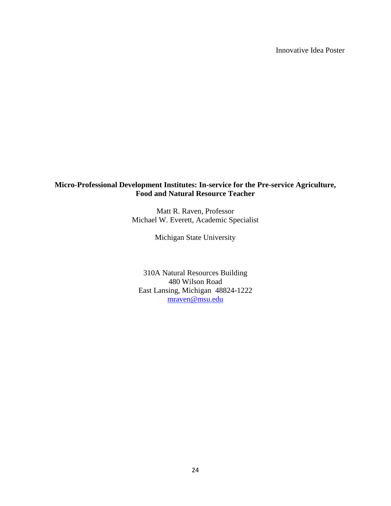# **Micro-Professional Development Institutes: In-service for the Pre-service Agriculture, Food and Natural Resource Teacher**

Matt R. Raven, Professor Michael W. Everett, Academic Specialist

Michigan State University

310A Natural Resources Building 480 Wilson Road East Lansing, Michigan 48824-1222 [mraven@msu.edu](mailto:mraven@msu.edu)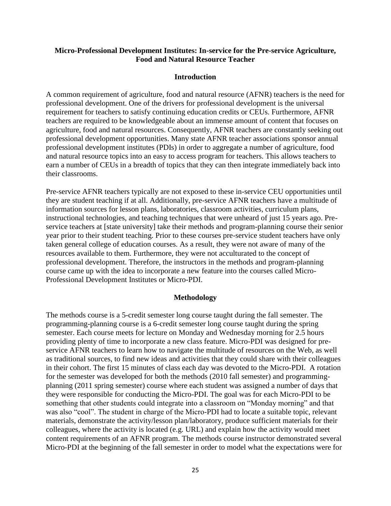# **Micro-Professional Development Institutes: In-service for the Pre-service Agriculture, Food and Natural Resource Teacher**

#### **Introduction**

A common requirement of agriculture, food and natural resource (AFNR) teachers is the need for professional development. One of the drivers for professional development is the universal requirement for teachers to satisfy continuing education credits or CEUs. Furthermore, AFNR teachers are required to be knowledgeable about an immense amount of content that focuses on agriculture, food and natural resources. Consequently, AFNR teachers are constantly seeking out professional development opportunities. Many state AFNR teacher associations sponsor annual professional development institutes (PDIs) in order to aggregate a number of agriculture, food and natural resource topics into an easy to access program for teachers. This allows teachers to earn a number of CEUs in a breadth of topics that they can then integrate immediately back into their classrooms.

Pre-service AFNR teachers typically are not exposed to these in-service CEU opportunities until they are student teaching if at all. Additionally, pre-service AFNR teachers have a multitude of information sources for lesson plans, laboratories, classroom activities, curriculum plans, instructional technologies, and teaching techniques that were unheard of just 15 years ago. Preservice teachers at [state university] take their methods and program-planning course their senior year prior to their student teaching. Prior to these courses pre-service student teachers have only taken general college of education courses. As a result, they were not aware of many of the resources available to them. Furthermore, they were not acculturated to the concept of professional development. Therefore, the instructors in the methods and program-planning course came up with the idea to incorporate a new feature into the courses called Micro-Professional Development Institutes or Micro-PDI.

#### **Methodology**

The methods course is a 5-credit semester long course taught during the fall semester. The programming-planning course is a 6-credit semester long course taught during the spring semester. Each course meets for lecture on Monday and Wednesday morning for 2.5 hours providing plenty of time to incorporate a new class feature. Micro-PDI was designed for preservice AFNR teachers to learn how to navigate the multitude of resources on the Web, as well as traditional sources, to find new ideas and activities that they could share with their colleagues in their cohort. The first 15 minutes of class each day was devoted to the Micro-PDI. A rotation for the semester was developed for both the methods (2010 fall semester) and programmingplanning (2011 spring semester) course where each student was assigned a number of days that they were responsible for conducting the Micro-PDI. The goal was for each Micro-PDI to be something that other students could integrate into a classroom on "Monday morning" and that was also "cool". The student in charge of the Micro-PDI had to locate a suitable topic, relevant materials, demonstrate the activity/lesson plan/laboratory, produce sufficient materials for their colleagues, where the activity is located (e.g. URL) and explain how the activity would meet content requirements of an AFNR program. The methods course instructor demonstrated several Micro-PDI at the beginning of the fall semester in order to model what the expectations were for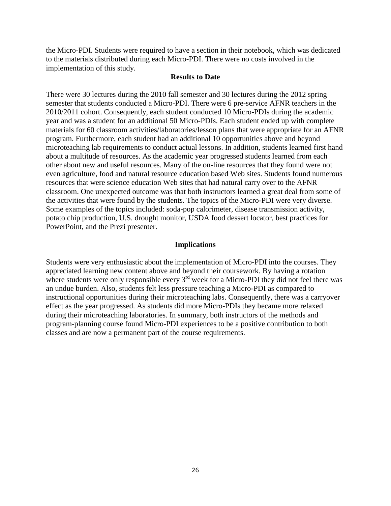the Micro-PDI. Students were required to have a section in their notebook, which was dedicated to the materials distributed during each Micro-PDI. There were no costs involved in the implementation of this study.

#### **Results to Date**

There were 30 lectures during the 2010 fall semester and 30 lectures during the 2012 spring semester that students conducted a Micro-PDI. There were 6 pre-service AFNR teachers in the 2010/2011 cohort. Consequently, each student conducted 10 Micro-PDIs during the academic year and was a student for an additional 50 Micro-PDIs. Each student ended up with complete materials for 60 classroom activities/laboratories/lesson plans that were appropriate for an AFNR program. Furthermore, each student had an additional 10 opportunities above and beyond microteaching lab requirements to conduct actual lessons. In addition, students learned first hand about a multitude of resources. As the academic year progressed students learned from each other about new and useful resources. Many of the on-line resources that they found were not even agriculture, food and natural resource education based Web sites. Students found numerous resources that were science education Web sites that had natural carry over to the AFNR classroom. One unexpected outcome was that both instructors learned a great deal from some of the activities that were found by the students. The topics of the Micro-PDI were very diverse. Some examples of the topics included: soda-pop calorimeter, disease transmission activity, potato chip production, U.S. drought monitor, USDA food dessert locator, best practices for PowerPoint, and the Prezi presenter.

#### **Implications**

Students were very enthusiastic about the implementation of Micro-PDI into the courses. They appreciated learning new content above and beyond their coursework. By having a rotation where students were only responsible every  $3<sup>rd</sup>$  week for a Micro-PDI they did not feel there was an undue burden. Also, students felt less pressure teaching a Micro-PDI as compared to instructional opportunities during their microteaching labs. Consequently, there was a carryover effect as the year progressed. As students did more Micro-PDIs they became more relaxed during their microteaching laboratories. In summary, both instructors of the methods and program-planning course found Micro-PDI experiences to be a positive contribution to both classes and are now a permanent part of the course requirements.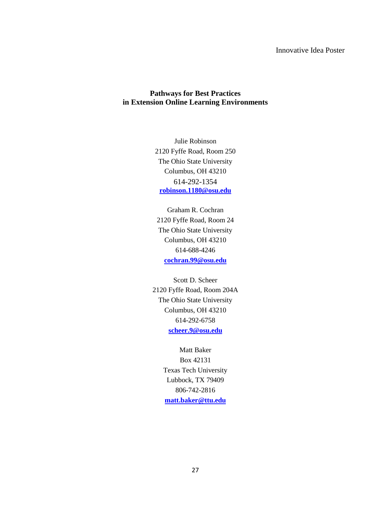# **Pathways for Best Practices in Extension Online Learning Environments**

Julie Robinson 2120 Fyffe Road, Room 250 The Ohio State University Columbus, OH 43210 614-292-1354 **[robinson.1180@osu.edu](mailto:robinson.1180@osu.edu)**

Graham R. Cochran 2120 Fyffe Road, Room 24 The Ohio State University Columbus, OH 43210 614-688-4246 **[cochran.99@osu.edu](mailto:cochran.99@osu.edu)**

Scott D. Scheer 2120 Fyffe Road, Room 204A The Ohio State University Columbus, OH 43210 614-292-6758 **[scheer.9@osu.edu](mailto:scheer.9@osu.edu)**

> Matt Baker Box 42131 Texas Tech University Lubbock, TX 79409 806-742-2816 **[matt.baker@ttu.edu](mailto:matt.baker@ttu.edu)**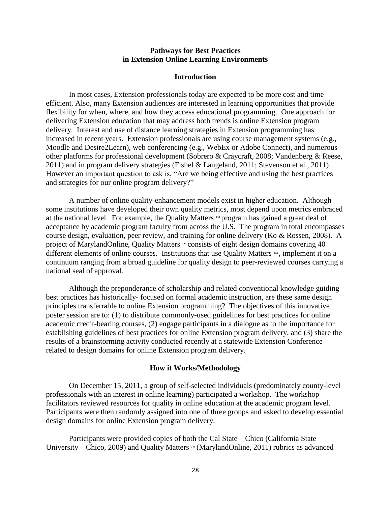#### **Pathways for Best Practices in Extension Online Learning Environments**

#### **Introduction**

In most cases, Extension professionals today are expected to be more cost and time efficient. Also, many Extension audiences are interested in learning opportunities that provide flexibility for when, where, and how they access educational programming. One approach for delivering Extension education that may address both trends is online Extension program delivery. Interest and use of distance learning strategies in Extension programming has increased in recent years. Extension professionals are using course management systems (e.g., Moodle and Desire2Learn), web conferencing (e.g., WebEx or Adobe Connect), and numerous other platforms for professional development (Sobrero & Craycraft, 2008; Vandenberg & Reese, 2011) and in program delivery strategies (Fishel & Langeland, 2011; Stevenson et al., 2011). However an important question to ask is, "Are we being effective and using the best practices and strategies for our online program delivery?"

A number of online quality-enhancement models exist in higher education. Although some institutions have developed their own quality metrics, most depend upon metrics embraced at the national level. For example, the Quality Matters  $\mathbb{M}$  program has gained a great deal of acceptance by academic program faculty from across the U.S. The program in total encompasses course design, evaluation, peer review, and training for online delivery (Ko & Rossen, 2008). A project of MarylandOnline, Quality Matters  $M$  consists of eight design domains covering 40 different elements of online courses. Institutions that use Quality Matters  $\mathbb{N}$ , implement it on a continuum ranging from a broad guideline for quality design to peer-reviewed courses carrying a national seal of approval.

Although the preponderance of scholarship and related conventional knowledge guiding best practices has historically- focused on formal academic instruction, are these same design principles transferrable to online Extension programming? The objectives of this innovative poster session are to: (1) to distribute commonly-used guidelines for best practices for online academic credit-bearing courses, (2) engage participants in a dialogue as to the importance for establishing guidelines of best practices for online Extension program delivery, and (3) share the results of a brainstorming activity conducted recently at a statewide Extension Conference related to design domains for online Extension program delivery.

#### **How it Works/Methodology**

On December 15, 2011, a group of self-selected individuals (predominately county-level professionals with an interest in online learning) participated a workshop. The workshop facilitators reviewed resources for quality in online education at the academic program level. Participants were then randomly assigned into one of three groups and asked to develop essential design domains for online Extension program delivery.

Participants were provided copies of both the Cal State – Chico (California State University – Chico, 2009) and Quality Matters  $M(MarylandOnline, 2011)$  rubrics as advanced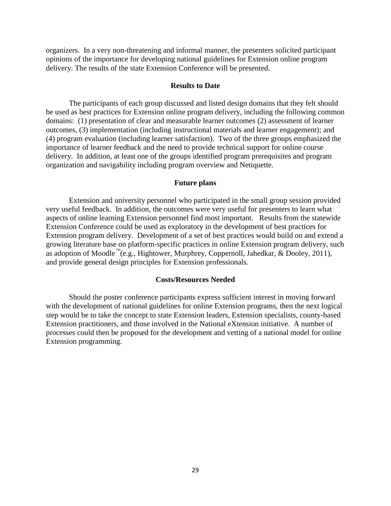organizers. In a very non-threatening and informal manner, the presenters solicited participant opinions of the importance for developing national guidelines for Extension online program delivery. The results of the state Extension Conference will be presented.

#### **Results to Date**

The participants of each group discussed and listed design domains that they felt should be used as best practices for Extension online program delivery, including the following common domains: (1) presentation of clear and measurable learner outcomes (2) assessment of learner outcomes, (3) implementation (including instructional materials and learner engagement); and (4) program evaluation (including learner satisfaction). Two of the three groups emphasized the importance of learner feedback and the need to provide technical support for online course delivery. In addition, at least one of the groups identified program prerequisites and program organization and navigability including program overview and Netiquette.

## **Future plans**

Extension and university personnel who participated in the small group session provided very useful feedback. In addition, the outcomes were very useful for presenters to learn what aspects of online learning Extension personnel find most important. Results from the statewide Extension Conference could be used as exploratory in the development of best practices for Extension program delivery. Development of a set of best practices would build on and extend a growing literature base on platform-specific practices in online Extension program delivery, such as adoption of Moodle<sup><sup>™</sup>(e.g., Hightower, Murphrey, Coppernoll, Jahedkar, & Dooley, 2011),</sup> and provide general design principles for Extension professionals.

#### **Costs/Resources Needed**

Should the poster conference participants express sufficient interest in moving forward with the development of national guidelines for online Extension programs, then the next logical step would be to take the concept to state Extension leaders, Extension specialists, county-based Extension practitioners, and those involved in the National eXtension initiative. A number of processes could then be proposed for the development and vetting of a national model for online Extension programming.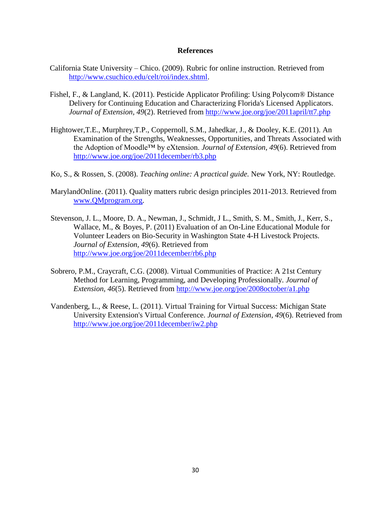#### **References**

- California State University Chico. (2009). Rubric for online instruction. Retrieved from [http://www.csuchico.edu/celt/roi/index.shtml.](http://www.csuchico.edu/celt/roi/index.shtml)
- Fishel, F., & Langland, K. (2011). Pesticide Applicator Profiling: Using Polycom® Distance Delivery for Continuing Education and Characterizing Florida's Licensed Applicators. *Journal of Extension, 49*(2). Retrieved from<http://www.joe.org/joe/2011april/tt7.php>
- Hightower,T.E., Murphrey,T.P., Coppernoll, S.M., Jahedkar, J., & Dooley, K.E. (2011). An Examination of the Strengths, Weaknesses, Opportunities, and Threats Associated with the Adoption of Moodle™ by eXtension. *Journal of Extension, 49*(6). Retrieved from <http://www.joe.org/joe/2011december/rb3.php>
- Ko, S., & Rossen, S. (2008). *Teaching online: A practical guide.* New York, NY: Routledge.
- MarylandOnline. (2011). Quality matters rubric design principles 2011-2013. Retrieved from [www.QMprogram.org.](http://www.qmprogram.org/)
- Stevenson, J. L., Moore, D. A., Newman, J., Schmidt, J L., Smith, S. M., Smith, J., Kerr, S., Wallace, M., & Boyes, P. (2011) Evaluation of an On-Line Educational Module for Volunteer Leaders on Bio-Security in Washington State 4-H Livestock Projects. *Journal of Extension, 49*(6). Retrieved from <http://www.joe.org/joe/2011december/rb6.php>
- Sobrero, P.M., Craycraft, C.G. (2008). Virtual Communities of Practice: A 21st Century Method for Learning, Programming, and Developing Professionally. *Journal of Extension, 46*(5). Retrieved from<http://www.joe.org/joe/2008october/a1.php>
- Vandenberg, L., & Reese, L. (2011). Virtual Training for Virtual Success: Michigan State University Extension's Virtual Conference. *Journal of Extension, 49*(6). Retrieved from <http://www.joe.org/joe/2011december/iw2.php>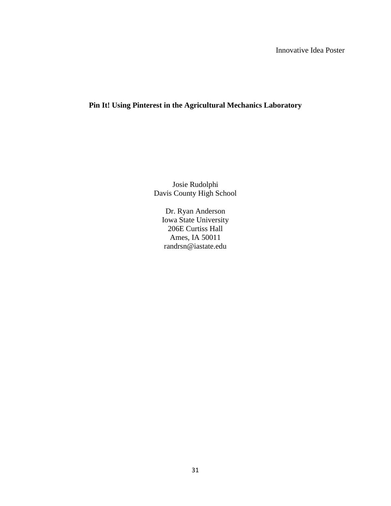# **Pin It! Using Pinterest in the Agricultural Mechanics Laboratory**

Josie Rudolphi Davis County High School

Dr. Ryan Anderson Iowa State University 206E Curtiss Hall Ames, IA 50011 randrsn@iastate.edu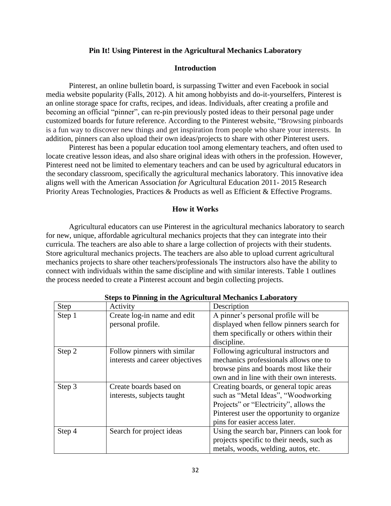#### **Pin It! Using Pinterest in the Agricultural Mechanics Laboratory**

# **Introduction**

Pinterest, an online bulletin board, is surpassing Twitter and even Facebook in social media website popularity (Falls, 2012). A hit among hobbyists and do-it-yourselfers, Pinterest is an online storage space for crafts, recipes, and ideas. Individuals, after creating a profile and becoming an official "pinner", can re-pin previously posted ideas to their personal page under customized boards for future reference. According to the Pinterest website, "Browsing pinboards is a fun way to discover new things and get inspiration from people who share your interests. In addition, pinners can also upload their own ideas/projects to share with other Pinterest users.

Pinterest has been a popular education tool among elementary teachers, and often used to locate creative lesson ideas, and also share original ideas with others in the profession. However, Pinterest need not be limited to elementary teachers and can be used by agricultural educators in the secondary classroom, specifically the agricultural mechanics laboratory. This innovative idea aligns well with the American Association *for* Agricultural Education 2011- 2015 Research Priority Areas Technologies, Practices & Products as well as Efficient & Effective Programs.

#### **How it Works**

Agricultural educators can use Pinterest in the agricultural mechanics laboratory to search for new, unique, affordable agricultural mechanics projects that they can integrate into their curricula. The teachers are also able to share a large collection of projects with their students. Store agricultural mechanics projects. The teachers are also able to upload current agricultural mechanics projects to share other teachers/professionals The instructors also have the ability to connect with individuals within the same discipline and with similar interests. Table 1 outlines the process needed to create a Pinterest account and begin collecting projects.

| <b>Step</b> | Activity                        | Description                                |
|-------------|---------------------------------|--------------------------------------------|
| Step 1      | Create log-in name and edit     | A pinner's personal profile will be        |
|             | personal profile.               | displayed when fellow pinners search for   |
|             |                                 | them specifically or others within their   |
|             |                                 | discipline.                                |
| Step 2      | Follow pinners with similar     | Following agricultural instructors and     |
|             | interests and career objectives | mechanics professionals allows one to      |
|             |                                 | browse pins and boards most like their     |
|             |                                 | own and in line with their own interests.  |
| Step 3      | Create boards based on          | Creating boards, or general topic areas    |
|             | interests, subjects taught      | such as "Metal Ideas", "Woodworking        |
|             |                                 | Projects" or "Electricity", allows the     |
|             |                                 | Pinterest user the opportunity to organize |
|             |                                 | pins for easier access later.              |
| Step 4      | Search for project ideas        | Using the search bar, Pinners can look for |
|             |                                 | projects specific to their needs, such as  |
|             |                                 | metals, woods, welding, autos, etc.        |

**Steps to Pinning in the Agricultural Mechanics Laboratory**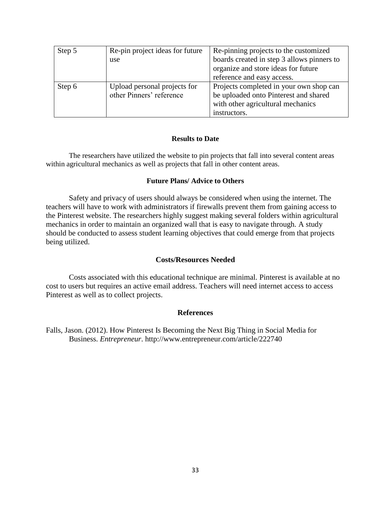| Step 5 | Re-pin project ideas for future | Re-pinning projects to the customized      |
|--------|---------------------------------|--------------------------------------------|
|        | use                             | boards created in step 3 allows pinners to |
|        |                                 | organize and store ideas for future        |
|        |                                 | reference and easy access.                 |
| Step 6 | Upload personal projects for    | Projects completed in your own shop can    |
|        | other Pinners' reference        | be uploaded onto Pinterest and shared      |
|        |                                 | with other agricultural mechanics          |
|        |                                 | instructors.                               |

#### **Results to Date**

The researchers have utilized the website to pin projects that fall into several content areas within agricultural mechanics as well as projects that fall in other content areas.

#### **Future Plans/ Advice to Others**

Safety and privacy of users should always be considered when using the internet. The teachers will have to work with administrators if firewalls prevent them from gaining access to the Pinterest website. The researchers highly suggest making several folders within agricultural mechanics in order to maintain an organized wall that is easy to navigate through. A study should be conducted to assess student learning objectives that could emerge from that projects being utilized.

#### **Costs/Resources Needed**

Costs associated with this educational technique are minimal. Pinterest is available at no cost to users but requires an active email address. Teachers will need internet access to access Pinterest as well as to collect projects.

# **References**

Falls, Jason. (2012). How Pinterest Is Becoming the Next Big Thing in Social Media for Business. *Entrepreneur*. http://www.entrepreneur.com/article/222740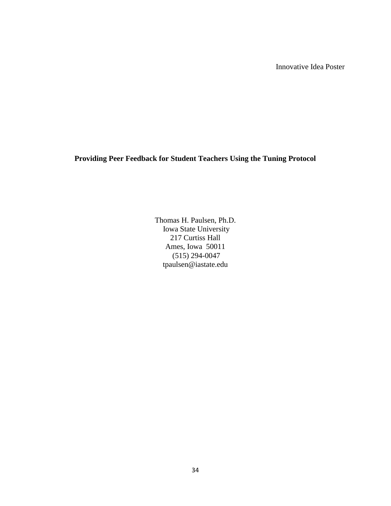**Providing Peer Feedback for Student Teachers Using the Tuning Protocol**

Thomas H. Paulsen, Ph.D. Iowa State University 217 Curtiss Hall Ames, Iowa 50011 (515) 294-0047 tpaulsen@iastate.edu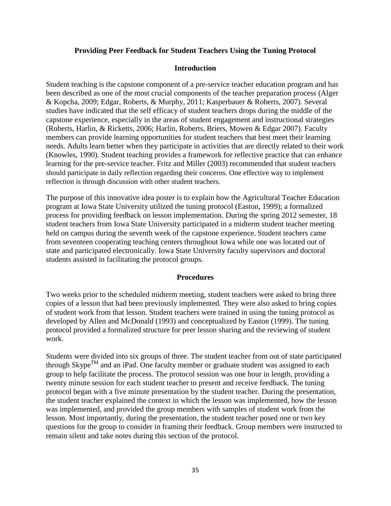# **Providing Peer Feedback for Student Teachers Using the Tuning Protocol**

# **Introduction**

Student teaching is the capstone component of a pre-service teacher education program and has been described as one of the most crucial components of the teacher preparation process (Alger & Kopcha, 2009; Edgar, Roberts, & Murphy, 2011; Kasperbauer & Roberts, 2007). Several studies have indicated that the self efficacy of student teachers drops during the middle of the capstone experience, especially in the areas of student engagement and instructional strategies (Roberts, Harlin, & Ricketts, 2006; Harlin, Roberts, Briers, Mowen & Edgar 2007). Faculty members can provide learning opportunities for student teachers that best meet their learning needs. Adults learn better when they participate in activities that are directly related to their work (Knowles, 1990). Student teaching provides a framework for reflective practice that can enhance learning for the pre-service teacher. Fritz and Miller (2003) recommended that student teachers should participate in daily reflection regarding their concerns. One effective way to implement reflection is through discussion with other student teachers.

The purpose of this innovative idea poster is to explain how the Agricultural Teacher Education program at Iowa State University utilized the tuning protocol (Easton, 1999); a formalized process for providing feedback on lesson implementation. During the spring 2012 semester, 18 student teachers from Iowa State University participated in a midterm student teacher meeting held on campus during the seventh week of the capstone experience. Student teachers came from seventeen cooperating teaching centers throughout Iowa while one was located out of state and participated electronically. Iowa State University faculty supervisors and doctoral students assisted in facilitating the protocol groups.

# **Procedures**

Two weeks prior to the scheduled midterm meeting, student teachers were asked to bring three copies of a lesson that had been previously implemented. They were also asked to bring copies of student work from that lesson. Student teachers were trained in using the tuning protocol as developed by Allen and McDonald (1993) and conceptualized by Easton (1999). The tuning protocol provided a formalized structure for peer lesson sharing and the reviewing of student work.

Students were divided into six groups of three. The student teacher from out of state participated through  $\text{Skype}^{\text{TM}}$  and an iPad. One faculty member or graduate student was assigned to each group to help facilitate the process. The protocol session was one hour in length, providing a twenty minute session for each student teacher to present and receive feedback. The tuning protocol began with a five minute presentation by the student teacher. During the presentation, the student teacher explained the context in which the lesson was implemented, how the lesson was implemented, and provided the group members with samples of student work from the lesson. Most importantly, during the presentation, the student teacher posed one or two key questions for the group to consider in framing their feedback. Group members were instructed to remain silent and take notes during this section of the protocol.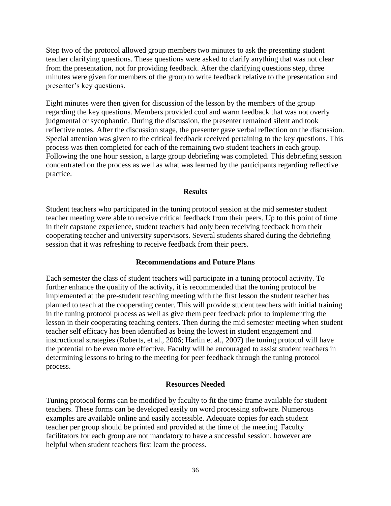Step two of the protocol allowed group members two minutes to ask the presenting student teacher clarifying questions. These questions were asked to clarify anything that was not clear from the presentation, not for providing feedback. After the clarifying questions step, three minutes were given for members of the group to write feedback relative to the presentation and presenter's key questions.

Eight minutes were then given for discussion of the lesson by the members of the group regarding the key questions. Members provided cool and warm feedback that was not overly judgmental or sycophantic. During the discussion, the presenter remained silent and took reflective notes. After the discussion stage, the presenter gave verbal reflection on the discussion. Special attention was given to the critical feedback received pertaining to the key questions. This process was then completed for each of the remaining two student teachers in each group. Following the one hour session, a large group debriefing was completed. This debriefing session concentrated on the process as well as what was learned by the participants regarding reflective practice.

# **Results**

Student teachers who participated in the tuning protocol session at the mid semester student teacher meeting were able to receive critical feedback from their peers. Up to this point of time in their capstone experience, student teachers had only been receiving feedback from their cooperating teacher and university supervisors. Several students shared during the debriefing session that it was refreshing to receive feedback from their peers.

# **Recommendations and Future Plans**

Each semester the class of student teachers will participate in a tuning protocol activity. To further enhance the quality of the activity, it is recommended that the tuning protocol be implemented at the pre-student teaching meeting with the first lesson the student teacher has planned to teach at the cooperating center. This will provide student teachers with initial training in the tuning protocol process as well as give them peer feedback prior to implementing the lesson in their cooperating teaching centers. Then during the mid semester meeting when student teacher self efficacy has been identified as being the lowest in student engagement and instructional strategies (Roberts, et al., 2006; Harlin et al., 2007) the tuning protocol will have the potential to be even more effective. Faculty will be encouraged to assist student teachers in determining lessons to bring to the meeting for peer feedback through the tuning protocol process.

# **Resources Needed**

Tuning protocol forms can be modified by faculty to fit the time frame available for student teachers. These forms can be developed easily on word processing software. Numerous examples are available online and easily accessible. Adequate copies for each student teacher per group should be printed and provided at the time of the meeting. Faculty facilitators for each group are not mandatory to have a successful session, however are helpful when student teachers first learn the process.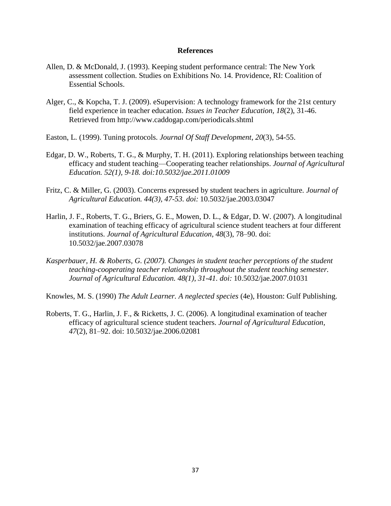- Allen, D. & McDonald, J. (1993). Keeping student performance central: The New York assessment collection. Studies on Exhibitions No. 14. Providence, RI: Coalition of Essential Schools.
- Alger, C., & Kopcha, T. J. (2009). eSupervision: A technology framework for the 21st century field experience in teacher education. *Issues in Teacher Education, 18*(2), 31-46. Retrieved from http://www.caddogap.com/periodicals.shtml
- Easton, L. (1999). Tuning protocols. *Journal Of Staff Development*, *20*(3), 54-55.
- Edgar, D. W., Roberts, T. G., & Murphy, T. H. (2011). Exploring relationships between teaching efficacy and student teaching—Cooperating teacher relationships. *Journal of Agricultural Education. 52(1), 9-18. doi:10.5032/jae.2011.01009*
- Fritz, C. & Miller, G. (2003). Concerns expressed by student teachers in agriculture. *Journal of Agricultural Education. 44(3), 47-53. doi:* 10.5032/jae.2003.03047
- Harlin, J. F., Roberts, T. G., Briers, G. E., Mowen, D. L., & Edgar, D. W. (2007). A longitudinal examination of teaching efficacy of agricultural science student teachers at four different institutions. *Journal of Agricultural Education, 48*(3), 78–90. doi: 10.5032/jae.2007.03078
- *Kasperbauer, H. & Roberts, G. (2007). Changes in student teacher perceptions of the student teaching-cooperating teacher relationship throughout the student teaching semester. Journal of Agricultural Education. 48(1), 31-41. doi:* 10.5032/jae.2007.01031

Knowles, M. S. (1990) *The Adult Learner. A neglected species* (4e), Houston: Gulf Publishing.

Roberts, T. G., Harlin, J. F., & Ricketts, J. C. (2006). A longitudinal examination of teacher efficacy of agricultural science student teachers. *Journal of Agricultural Education, 47*(2), 81–92. doi: 10.5032/jae.2006.02081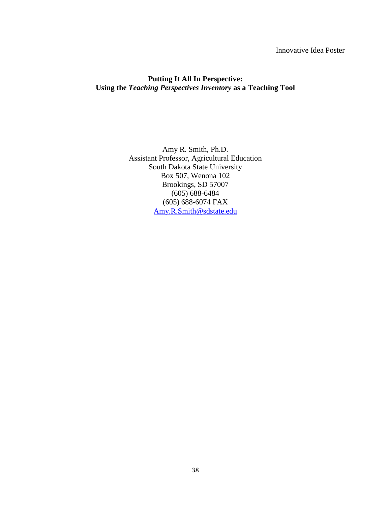# Innovative Idea Poster

# **Putting It All In Perspective: Using the** *Teaching Perspectives Inventory* **as a Teaching Tool**

Amy R. Smith, Ph.D. Assistant Professor, Agricultural Education South Dakota State University Box 507, Wenona 102 Brookings, SD 57007 (605) 688-6484 (605) 688-6074 FAX [Amy.R.Smith@sdstate.edu](mailto:Amy.R.Smith@sdstate.edu)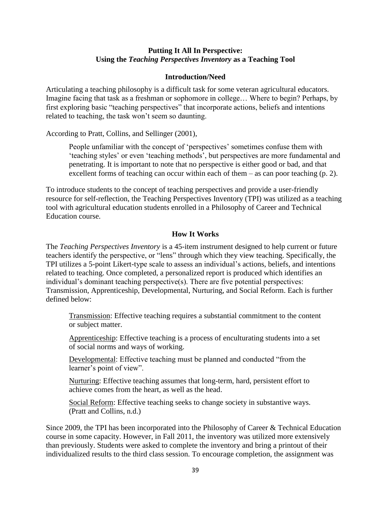# **Putting It All In Perspective: Using the** *Teaching Perspectives Inventory* **as a Teaching Tool**

# **Introduction/Need**

Articulating a teaching philosophy is a difficult task for some veteran agricultural educators. Imagine facing that task as a freshman or sophomore in college… Where to begin? Perhaps, by first exploring basic "teaching perspectives" that incorporate actions, beliefs and intentions related to teaching, the task won't seem so daunting.

According to Pratt, Collins, and Sellinger (2001),

People unfamiliar with the concept of 'perspectives' sometimes confuse them with 'teaching styles' or even 'teaching methods', but perspectives are more fundamental and penetrating. It is important to note that no perspective is either good or bad, and that excellent forms of teaching can occur within each of them  $-$  as can poor teaching (p. 2).

To introduce students to the concept of teaching perspectives and provide a user-friendly resource for self-reflection, the Teaching Perspectives Inventory (TPI) was utilized as a teaching tool with agricultural education students enrolled in a Philosophy of Career and Technical Education course.

## **How It Works**

The *Teaching Perspectives Inventory* is a 45-item instrument designed to help current or future teachers identify the perspective, or "lens" through which they view teaching. Specifically, the TPI utilizes a 5-point Likert-type scale to assess an individual's actions, beliefs, and intentions related to teaching. Once completed, a personalized report is produced which identifies an individual's dominant teaching perspective(s). There are five potential perspectives: Transmission, Apprenticeship, Developmental, Nurturing, and Social Reform. Each is further defined below:

Transmission: Effective teaching requires a substantial commitment to the content or subject matter.

Apprenticeship: Effective teaching is a process of enculturating students into a set of social norms and ways of working.

Developmental: Effective teaching must be planned and conducted "from the learner's point of view".

Nurturing: Effective teaching assumes that long-term, hard, persistent effort to achieve comes from the heart, as well as the head.

Social Reform: Effective teaching seeks to change society in substantive ways. (Pratt and Collins, n.d.)

Since 2009, the TPI has been incorporated into the Philosophy of Career & Technical Education course in some capacity. However, in Fall 2011, the inventory was utilized more extensively than previously. Students were asked to complete the inventory and bring a printout of their individualized results to the third class session. To encourage completion, the assignment was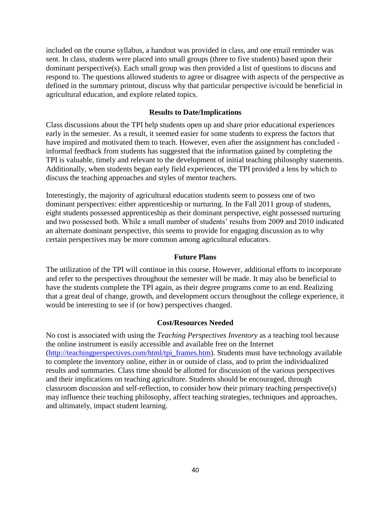included on the course syllabus, a handout was provided in class, and one email reminder was sent. In class, students were placed into small groups (three to five students) based upon their dominant perspective(s). Each small group was then provided a list of questions to discuss and respond to. The questions allowed students to agree or disagree with aspects of the perspective as defined in the summary printout, discuss why that particular perspective is/could be beneficial in agricultural education, and explore related topics.

# **Results to Date/Implications**

Class discussions about the TPI help students open up and share prior educational experiences early in the semester. As a result, it seemed easier for some students to express the factors that have inspired and motivated them to teach. However, even after the assignment has concluded informal feedback from students has suggested that the information gained by completing the TPI is valuable, timely and relevant to the development of initial teaching philosophy statements. Additionally, when students began early field experiences, the TPI provided a lens by which to discuss the teaching approaches and styles of mentor teachers.

Interestingly, the majority of agricultural education students seem to possess one of two dominant perspectives: either apprenticeship or nurturing. In the Fall 2011 group of students, eight students possessed apprenticeship as their dominant perspective, eight possessed nurturing and two possessed both. While a small number of students' results from 2009 and 2010 indicated an alternate dominant perspective, this seems to provide for engaging discussion as to why certain perspectives may be more common among agricultural educators.

## **Future Plans**

The utilization of the TPI will continue in this course. However, additional efforts to incorporate and refer to the perspectives throughout the semester will be made. It may also be beneficial to have the students complete the TPI again, as their degree programs come to an end. Realizing that a great deal of change, growth, and development occurs throughout the college experience, it would be interesting to see if (or how) perspectives changed.

### **Cost/Resources Needed**

No cost is associated with using the *Teaching Perspectives Inventory* as a teaching tool because the online instrument is easily accessible and available free on the Internet [\(http://teachingperspectives.com/html/tpi\\_frames.htm\)](http://teachingperspectives.com/html/tpi_frames.htm). Students must have technology available to complete the inventory online, either in or outside of class, and to print the individualized results and summaries. Class time should be allotted for discussion of the various perspectives and their implications on teaching agriculture. Students should be encouraged, through classroom discussion and self-reflection, to consider how their primary teaching perspective(s) may influence their teaching philosophy, affect teaching strategies, techniques and approaches, and ultimately, impact student learning.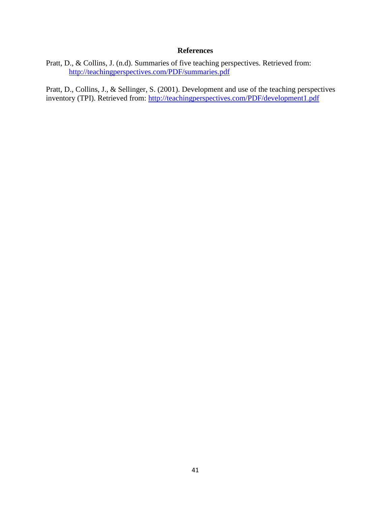Pratt, D., & Collins, J. (n.d). Summaries of five teaching perspectives. Retrieved from: <http://teachingperspectives.com/PDF/summaries.pdf>

Pratt, D., Collins, J., & Sellinger, S. (2001). Development and use of the teaching perspectives inventory (TPI). Retrieved from:<http://teachingperspectives.com/PDF/development1.pdf>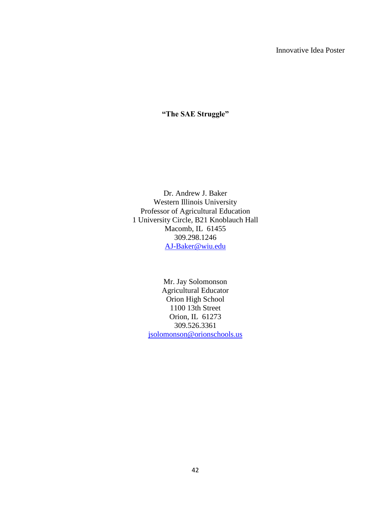# **"The SAE Struggle"**

Dr. Andrew J. Baker Western Illinois University Professor of Agricultural Education 1 University Circle, B21 Knoblauch Hall Macomb, IL 61455 309.298.1246 [AJ-Baker@wiu.edu](mailto:AJ-Baker@wiu.edu)

> Mr. Jay Solomonson Agricultural Educator Orion High School 1100 13th Street Orion, IL 61273 309.526.3361 [jsolomonson@orionschools.us](mailto:jsolomonson@orionschools.us)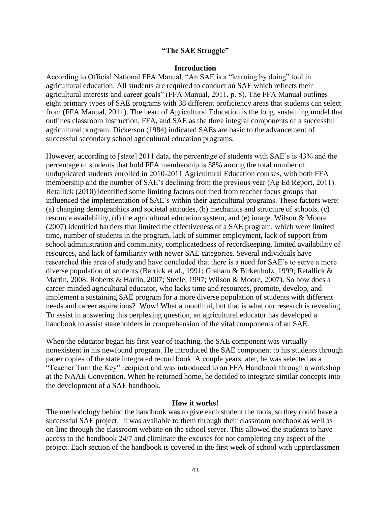### **"The SAE Struggle"**

### **Introduction**

According to Official National FFA Manual, "An SAE is a "learning by doing" tool in agricultural education. All students are required to conduct an SAE which reflects their agricultural interests and career goals" (FFA Manual, 2011, p. 8). The FFA Manual outlines eight primary types of SAE programs with 38 different proficiency areas that students can select from (FFA Manual, 2011). The heart of Agricultural Education is the long, sustaining model that outlines classroom instruction, FFA, and SAE as the three integral components of a successful agricultural program. Dickerson (1984) indicated SAEs are basic to the advancement of successful secondary school agricultural education programs.

However, according to [state] 2011 data, the percentage of students with SAE's is 43% and the percentage of students that hold FFA membership is 58% among the total number of unduplicated students enrolled in 2010-2011 Agricultural Education courses, with both FFA membership and the number of SAE's declining from the previous year (Ag Ed Report, 2011). Retallick (2010) identified some limiting factors outlined from teacher focus groups that influenced the implementation of SAE's within their agricultural programs. These factors were: (a) changing demographics and societal attitudes, (b) mechanics and structure of schools, (c) resource availability, (d) the agricultural education system, and (e) image. Wilson & Moore (2007) identified barriers that limited the effectiveness of a SAE program, which were limited time, number of students in the program, lack of summer employment, lack of support from school administration and community, complicatedness of recordkeeping, limited availability of resources, and lack of familiarity with newer SAE categories. Several individuals have researched this area of study and have concluded that there is a need for SAE's to serve a more diverse population of students (Barrick et al., 1991; Graham & Birkenholz, 1999; Retallick & Martin, 2008; Roberts & Harlin, 2007; Steele, 1997; Wilson & Moore, 2007). So how does a career-minded agricultural educator, who lacks time and resources, promote, develop, and implement a sustaining SAE program for a more diverse population of students with different needs and career aspirations? Wow! What a mouthful, but that is what our research is revealing. To assist in answering this perplexing question, an agricultural educator has developed a handbook to assist stakeholders in comprehension of the vital components of an SAE.

When the educator began his first year of teaching, the SAE component was virtually nonexistent in his newfound program. He introduced the SAE component to his students through paper copies of the state integrated record book. A couple years later, he was selected as a "Teacher Turn the Key" recipient and was introduced to an FFA Handbook through a workshop at the NAAE Convention. When he returned home, he decided to integrate similar concepts into the development of a SAE handbook.

#### **How it works!**

The methodology behind the handbook was to give each student the tools, so they could have a successful SAE project. It was available to them through their classroom notebook as well as on-line through the classroom website on the school server. This allowed the students to have access to the handbook 24/7 and eliminate the excuses for not completing any aspect of the project. Each section of the handbook is covered in the first week of school with upperclassmen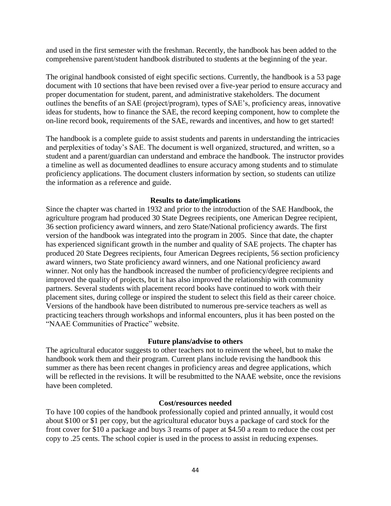and used in the first semester with the freshman. Recently, the handbook has been added to the comprehensive parent/student handbook distributed to students at the beginning of the year.

The original handbook consisted of eight specific sections. Currently, the handbook is a 53 page document with 10 sections that have been revised over a five-year period to ensure accuracy and proper documentation for student, parent, and administrative stakeholders. The document outlines the benefits of an SAE (project/program), types of SAE's, proficiency areas, innovative ideas for students, how to finance the SAE, the record keeping component, how to complete the on-line record book, requirements of the SAE, rewards and incentives, and how to get started!

The handbook is a complete guide to assist students and parents in understanding the intricacies and perplexities of today's SAE. The document is well organized, structured, and written, so a student and a parent/guardian can understand and embrace the handbook. The instructor provides a timeline as well as documented deadlines to ensure accuracy among students and to stimulate proficiency applications. The document clusters information by section, so students can utilize the information as a reference and guide.

# **Results to date/implications**

Since the chapter was charted in 1932 and prior to the introduction of the SAE Handbook, the agriculture program had produced 30 State Degrees recipients, one American Degree recipient, 36 section proficiency award winners, and zero State/National proficiency awards. The first version of the handbook was integrated into the program in 2005. Since that date, the chapter has experienced significant growth in the number and quality of SAE projects. The chapter has produced 20 State Degrees recipients, four American Degrees recipients, 56 section proficiency award winners, two State proficiency award winners, and one National proficiency award winner. Not only has the handbook increased the number of proficiency/degree recipients and improved the quality of projects, but it has also improved the relationship with community partners. Several students with placement record books have continued to work with their placement sites, during college or inspired the student to select this field as their career choice. Versions of the handbook have been distributed to numerous pre-service teachers as well as practicing teachers through workshops and informal encounters, plus it has been posted on the "NAAE Communities of Practice" website.

# **Future plans/advise to others**

The agricultural educator suggests to other teachers not to reinvent the wheel, but to make the handbook work them and their program. Current plans include revising the handbook this summer as there has been recent changes in proficiency areas and degree applications, which will be reflected in the revisions. It will be resubmitted to the NAAE website, once the revisions have been completed.

### **Cost/resources needed**

To have 100 copies of the handbook professionally copied and printed annually, it would cost about \$100 or \$1 per copy, but the agricultural educator buys a package of card stock for the front cover for \$10 a package and buys 3 reams of paper at \$4.50 a ream to reduce the cost per copy to .25 cents. The school copier is used in the process to assist in reducing expenses.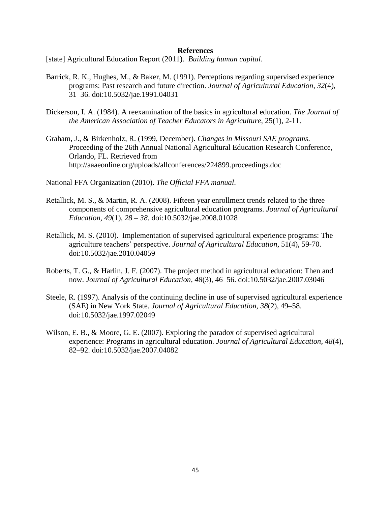[state] Agricultural Education Report (2011). *Building human capital*.

- Barrick, R. K., Hughes, M., & Baker, M. (1991). Perceptions regarding supervised experience programs: Past research and future direction. *Journal of Agricultural Education*, *32*(4), 31–36. doi:10.5032/jae.1991.04031
- Dickerson, I. A. (1984). A reexamination of the basics in agricultural education. *The Journal of the American Association of Teacher Educators in Agriculture*, 25(1), 2-11.
- Graham, J., & Birkenholz, R. (1999, December). *Changes in Missouri SAE programs*. Proceeding of the 26th Annual National Agricultural Education Research Conference, Orlando, FL. Retrieved from http://aaaeonline.org/uploads/allconferences/224899.proceedings.doc
- National FFA Organization (2010). *The Official FFA manual*.
- Retallick, M. S., & Martin, R. A. (2008). Fifteen year enrollment trends related to the three components of comprehensive agricultural education programs. *Journal of Agricultural Education, 49*(1), *28 – 38.* doi:10.5032/jae.2008.01028
- Retallick, M. S. (2010). Implementation of supervised agricultural experience programs: The agriculture teachers' perspective. *Journal of Agricultural Education*, 51(4), 59-70. doi:10.5032/jae.2010.04059
- Roberts, T. G., & Harlin, J. F. (2007). The project method in agricultural education: Then and now. *Journal of Agricultural Education, 48*(3), 46–56. doi:10.5032/jae.2007.03046
- Steele, R. (1997). Analysis of the continuing decline in use of supervised agricultural experience (SAE) in New York State. *Journal of Agricultural Education*, *38*(2), 49–58. doi:10.5032/jae.1997.02049
- Wilson, E. B., & Moore, G. E. (2007). Exploring the paradox of supervised agricultural experience: Programs in agricultural education. *Journal of Agricultural Education, 48*(4), 82–92. doi:10.5032/jae.2007.04082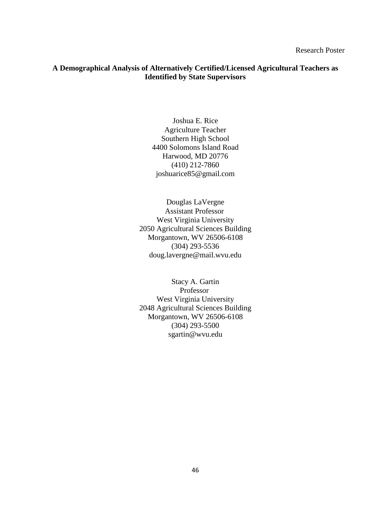# **A Demographical Analysis of Alternatively Certified/Licensed Agricultural Teachers as Identified by State Supervisors**

Joshua E. Rice Agriculture Teacher Southern High School 4400 Solomons Island Road Harwood, MD 20776 (410) 212-7860 joshuarice85@gmail.com

Douglas LaVergne Assistant Professor West Virginia University 2050 Agricultural Sciences Building Morgantown, WV 26506-6108 (304) 293-5536 doug.lavergne@mail.wvu.edu

Stacy A. Gartin Professor West Virginia University 2048 Agricultural Sciences Building Morgantown, WV 26506-6108 (304) 293-5500 sgartin@wvu.edu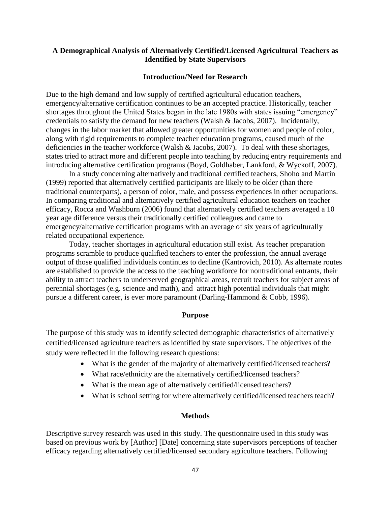# **A Demographical Analysis of Alternatively Certified/Licensed Agricultural Teachers as Identified by State Supervisors**

### **Introduction/Need for Research**

Due to the high demand and low supply of certified agricultural education teachers, emergency/alternative certification continues to be an accepted practice. Historically, teacher shortages throughout the United States began in the late 1980s with states issuing "emergency" credentials to satisfy the demand for new teachers (Walsh & Jacobs, 2007). Incidentally, changes in the labor market that allowed greater opportunities for women and people of color, along with rigid requirements to complete teacher education programs, caused much of the deficiencies in the teacher workforce (Walsh & Jacobs, 2007). To deal with these shortages, states tried to attract more and different people into teaching by reducing entry requirements and introducing alternative certification programs (Boyd, Goldhaber, Lankford, & Wyckoff, 2007).

In a study concerning alternatively and traditional certified teachers, Shoho and Martin (1999) reported that alternatively certified participants are likely to be older (than there traditional counterparts), a person of color, male, and possess experiences in other occupations. In comparing traditional and alternatively certified agricultural education teachers on teacher efficacy, Rocca and Washburn (2006) found that alternatively certified teachers averaged a 10 year age difference versus their traditionally certified colleagues and came to emergency/alternative certification programs with an average of six years of agriculturally related occupational experience.

Today, teacher shortages in agricultural education still exist. As teacher preparation programs scramble to produce qualified teachers to enter the profession, the annual average output of those qualified individuals continues to decline (Kantrovich, 2010). As alternate routes are established to provide the access to the teaching workforce for nontraditional entrants, their ability to attract teachers to underserved geographical areas, recruit teachers for subject areas of perennial shortages (e.g. science and math), and attract high potential individuals that might pursue a different career, is ever more paramount (Darling-Hammond & Cobb, 1996).

#### **Purpose**

The purpose of this study was to identify selected demographic characteristics of alternatively certified/licensed agriculture teachers as identified by state supervisors. The objectives of the study were reflected in the following research questions:

- What is the gender of the majority of alternatively certified/licensed teachers?
- What race/ethnicity are the alternatively certified/licensed teachers?
- What is the mean age of alternatively certified/licensed teachers?
- What is school setting for where alternatively certified/licensed teachers teach?

### **Methods**

Descriptive survey research was used in this study. The questionnaire used in this study was based on previous work by [Author] [Date] concerning state supervisors perceptions of teacher efficacy regarding alternatively certified/licensed secondary agriculture teachers. Following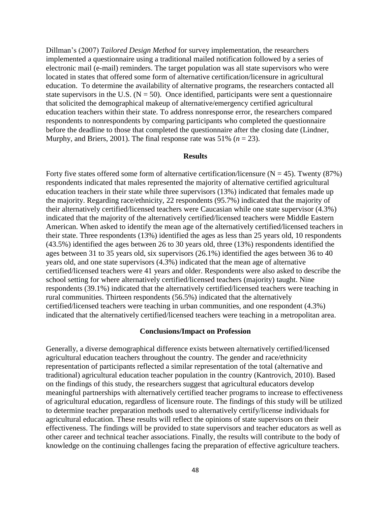Dillman's (2007) *Tailored Design Method* for survey implementation, the researchers implemented a questionnaire using a traditional mailed notification followed by a series of electronic mail (e-mail) reminders. The target population was all state supervisors who were located in states that offered some form of alternative certification/licensure in agricultural education. To determine the availability of alternative programs, the researchers contacted all state supervisors in the U.S.  $(N = 50)$ . Once identified, participants were sent a questionnaire that solicited the demographical makeup of alternative/emergency certified agricultural education teachers within their state. To address nonresponse error, the researchers compared respondents to nonrespondents by comparing participants who completed the questionnaire before the deadline to those that completed the questionnaire after the closing date (Lindner, Murphy, and Briers, 2001). The final response rate was 51%  $(n = 23)$ .

### **Results**

Forty five states offered some form of alternative certification/licensure ( $N = 45$ ). Twenty (87%) respondents indicated that males represented the majority of alternative certified agricultural education teachers in their state while three supervisors (13%) indicated that females made up the majority. Regarding race/ethnicity, 22 respondents (95.7%) indicated that the majority of their alternatively certified/licensed teachers were Caucasian while one state supervisor (4.3%) indicated that the majority of the alternatively certified/licensed teachers were Middle Eastern American. When asked to identify the mean age of the alternatively certified/licensed teachers in their state. Three respondents (13%) identified the ages as less than 25 years old, 10 respondents (43.5%) identified the ages between 26 to 30 years old, three (13%) respondents identified the ages between 31 to 35 years old, six supervisors (26.1%) identified the ages between 36 to 40 years old, and one state supervisors (4.3%) indicated that the mean age of alternative certified/licensed teachers were 41 years and older. Respondents were also asked to describe the school setting for where alternatively certified/licensed teachers (majority) taught. Nine respondents (39.1%) indicated that the alternatively certified/licensed teachers were teaching in rural communities. Thirteen respondents (56.5%) indicated that the alternatively certified/licensed teachers were teaching in urban communities, and one respondent (4.3%) indicated that the alternatively certified/licensed teachers were teaching in a metropolitan area.

#### **Conclusions/Impact on Profession**

Generally, a diverse demographical difference exists between alternatively certified/licensed agricultural education teachers throughout the country. The gender and race/ethnicity representation of participants reflected a similar representation of the total (alternative and traditional) agricultural education teacher population in the country (Kantrovich, 2010). Based on the findings of this study, the researchers suggest that agricultural educators develop meaningful partnerships with alternatively certified teacher programs to increase to effectiveness of agricultural education, regardless of licensure route. The findings of this study will be utilized to determine teacher preparation methods used to alternatively certify/license individuals for agricultural education. These results will reflect the opinions of state supervisors on their effectiveness. The findings will be provided to state supervisors and teacher educators as well as other career and technical teacher associations. Finally, the results will contribute to the body of knowledge on the continuing challenges facing the preparation of effective agriculture teachers.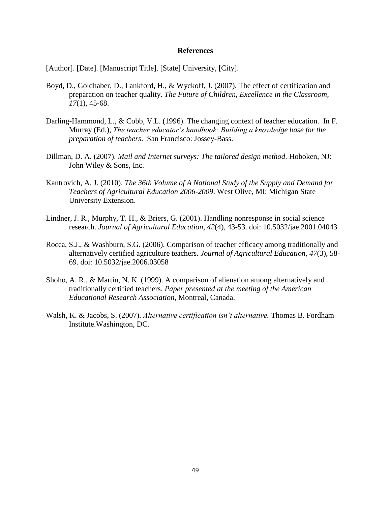[Author]. [Date]. [Manuscript Title]. [State] University, [City].

- Boyd, D., Goldhaber, D., Lankford, H., & Wyckoff, J. (2007). The effect of certification and preparation on teacher quality. *The Future of Children, Excellence in the Classroom, 17*(1), 45-68.
- Darling-Hammond, L., & Cobb, V.L. (1996). The changing context of teacher education.In F. Murray (Ed.), *The teacher educator's handbook: Building a knowledge base for the preparation of teachers*. San Francisco: Jossey-Bass.
- Dillman, D. A. (2007). *Mail and Internet surveys: The tailored design method*. Hoboken, NJ: John Wiley & Sons, Inc.
- Kantrovich, A. J. (2010). *The 36th Volume of A National Study of the Supply and Demand for Teachers of Agricultural Education 2006-2009*. West Olive, MI: Michigan State University Extension.
- Lindner, J. R., Murphy, T. H., & Briers, G. (2001). Handling nonresponse in social science research. *Journal of Agricultural Education, 42*(4), 43-53. doi: 10.5032/jae.2001.04043
- Rocca, S.J., & Washburn, S.G. (2006). Comparison of teacher efficacy among traditionally and alternatively certified agriculture teachers. *Journal of Agricultural Education, 47*(3), 58- 69. doi: 10.5032/jae.2006.03058
- Shoho, A. R., & Martin, N. K. (1999). A comparison of alienation among alternatively and traditionally certified teachers. *Paper presented at the meeting of the American Educational Research Association*, Montreal, Canada.
- Walsh, K. & Jacobs, S. (2007). *Alternative certification isn't alternative.* Thomas B. Fordham Institute.Washington, DC.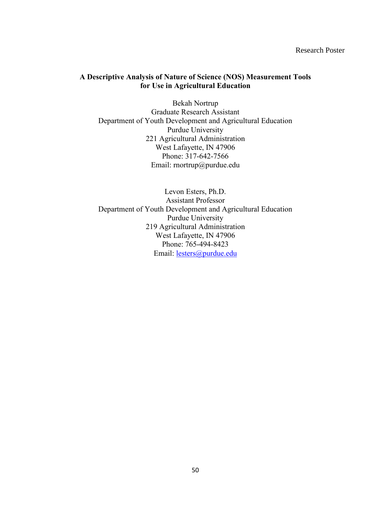Research Poster

## **A Descriptive Analysis of Nature of Science (NOS) Measurement Tools for Use in Agricultural Education**

Bekah Nortrup Graduate Research Assistant Department of Youth Development and Agricultural Education Purdue University 221 Agricultural Administration West Lafayette, IN 47906 Phone: 317-642-7566 Email: rnortrup@purdue.edu

Levon Esters, Ph.D. Assistant Professor Department of Youth Development and Agricultural Education Purdue University 219 Agricultural Administration West Lafayette, IN 47906 Phone: 765-494-8423 Email: [lesters@purdue.edu](mailto:lesters@purdue.edu)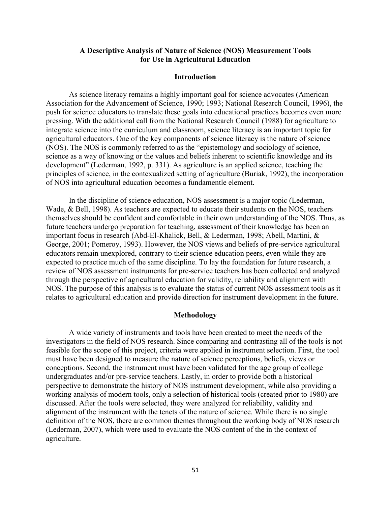## **A Descriptive Analysis of Nature of Science (NOS) Measurement Tools for Use in Agricultural Education**

### **Introduction**

As science literacy remains a highly important goal for science advocates (American Association for the Advancement of Science, 1990; 1993; National Research Council, 1996), the push for science educators to translate these goals into educational practices becomes even more pressing. With the additional call from the National Research Council (1988) for agriculture to integrate science into the curriculum and classroom, science literacy is an important topic for agricultural educators. One of the key components of science literacy is the nature of science (NOS). The NOS is commonly referred to as the "epistemology and sociology of science, science as a way of knowing or the values and beliefs inherent to scientific knowledge and its development" (Lederman, 1992, p. 331). As agriculture is an applied science, teaching the principles of science, in the contexualized setting of agriculture (Buriak, 1992), the incorporation of NOS into agricultural education becomes a fundamentle element.

In the discipline of science education, NOS assessment is a major topic (Lederman, Wade, & Bell, 1998). As teachers are expected to educate their students on the NOS, teachers themselves should be confident and comfortable in their own understanding of the NOS. Thus, as future teachers undergo preparation for teaching, assessment of their knowledge has been an important focus in research (Abd-El-Khalick, Bell, & Lederman, 1998; Abell, Martini, & George, 2001; Pomeroy, 1993). However, the NOS views and beliefs of pre-service agricultural educators remain unexplored, contrary to their science education peers, even while they are expected to practice much of the same discipline. To lay the foundation for future research, a review of NOS assessment instruments for pre-service teachers has been collected and analyzed through the perspective of agricultural education for validity, reliability and alignment with NOS. The purpose of this analysis is to evaluate the status of current NOS assessment tools as it relates to agricultural education and provide direction for instrument development in the future.

#### **Methodology**

A wide variety of instruments and tools have been created to meet the needs of the investigators in the field of NOS research. Since comparing and contrasting all of the tools is not feasible for the scope of this project, criteria were applied in instrument selection. First, the tool must have been designed to measure the nature of science perceptions, beliefs, views or conceptions. Second, the instrument must have been validated for the age group of college undergraduates and/or pre-service teachers. Lastly, in order to provide both a historical perspective to demonstrate the history of NOS instrument development, while also providing a working analysis of modern tools, only a selection of historical tools (created prior to 1980) are discussed. After the tools were selected, they were analyzed for reliability, validity and alignment of the instrument with the tenets of the nature of science. While there is no single definition of the NOS, there are common themes throughout the working body of NOS research (Lederman, 2007), which were used to evaluate the NOS content of the in the context of agriculture.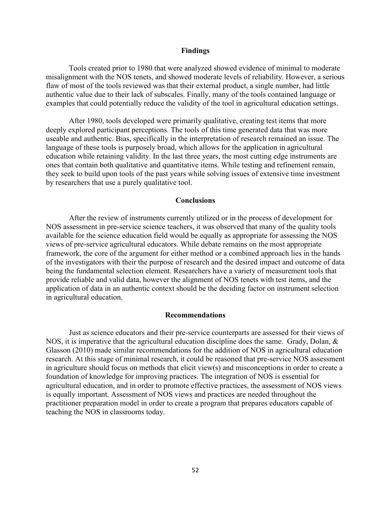### **Findings**

Tools created prior to 1980 that were analyzed showed evidence of minimal to moderate misalignment with the NOS tenets, and showed moderate levels of reliability. However, a serious flaw of most of the tools reviewed was that their external product, a single number, had little authentic value due to their lack of subscales. Finally, many of the tools contained language or examples that could potentially reduce the validity of the tool in agricultural education settings.

After 1980, tools developed were primarily qualitative, creating test items that more deeply explored participant perceptions. The tools of this time generated data that was more useable and authentic. Bias, specifically in the interpretation of research remained an issue. The language of these tools is purposely broad, which allows for the application in agricultural education while retaining validity. In the last three years, the most cutting edge instruments are ones that contain both qualitative and quantitative items. While testing and refinement remain, they seek to build upon tools of the past years while solving issues of extensive time investment by researchers that use a purely qualitative tool.

#### **Conclusions**

 After the review of instruments currently utilized or in the process of development for NOS assessment in pre-service science teachers, it was observed that many of the quality tools available for the science education field would be equally as appropriate for assessing the NOS views of pre-service agricultural educators. While debate remains on the most appropriate framework, the core of the argument for either method or a combined approach lies in the hands of the investigators with their the purpose of research and the desired impact and outcome of data being the fundamental selection element. Researchers have a variety of measurement tools that provide reliable and valid data, however the alignment of NOS tenets with test items, and the application of data in an authentic context should be the deciding factor on instrument selection in agricultural education.

#### **Recommendations**

Just as science educators and their pre-service counterparts are assessed for their views of NOS, it is imperative that the agricultural education discipline does the same. Grady, Dolan, & Glasson (2010) made similar recommendations for the addition of NOS in agricultural education research. At this stage of minimal research, it could be reasoned that pre-service NOS assessment in agriculture should focus on methods that elicit view(s) and misconceptions in order to create a foundation of knowledge for improving practices. The integration of NOS is essential for agricultural education, and in order to promote effective practices, the assessment of NOS views is equally important. Assessment of NOS views and practices are needed throughout the practitioner preparation model in order to create a program that prepares educators capable of teaching the NOS in classrooms today.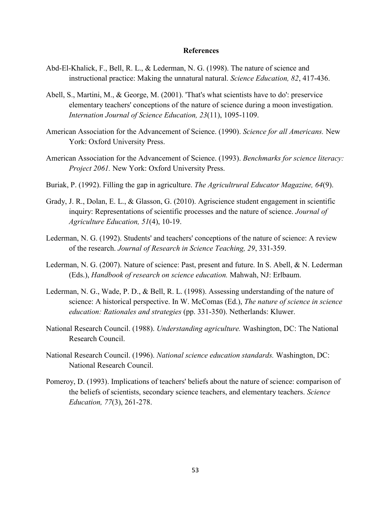- Abd-El-Khalick, F., Bell, R. L., & Lederman, N. G. (1998). The nature of science and instructional practice: Making the unnatural natural. *Science Education, 82*, 417-436.
- Abell, S., Martini, M., & George, M. (2001). 'That's what scientists have to do': preservice elementary teachers' conceptions of the nature of science during a moon investigation. *Internation Journal of Science Education, 23*(11), 1095-1109.
- American Association for the Advancement of Science. (1990). *Science for all Americans.* New York: Oxford University Press.
- American Association for the Advancement of Science. (1993). *Benchmarks for science literacy: Project 2061.* New York: Oxford University Press.
- Buriak, P. (1992). Filling the gap in agriculture. *The Agricultrural Educator Magazine, 64*(9).
- Grady, J. R., Dolan, E. L., & Glasson, G. (2010). Agriscience student engagement in scientific inquiry: Representations of scientific processes and the nature of science. *Journal of Agriculture Education, 51*(4), 10-19.
- Lederman, N. G. (1992). Students' and teachers' conceptions of the nature of science: A review of the research. *Journal of Research in Science Teaching, 29*, 331-359.
- Lederman, N. G. (2007). Nature of science: Past, present and future. In S. Abell, & N. Lederman (Eds.), *Handbook of research on science education.* Mahwah, NJ: Erlbaum.
- Lederman, N. G., Wade, P. D., & Bell, R. L. (1998). Assessing understanding of the nature of science: A historical perspective. In W. McComas (Ed.), *The nature of science in science education: Rationales and strategies* (pp. 331-350). Netherlands: Kluwer.
- National Research Council. (1988). *Understanding agriculture.* Washington, DC: The National Research Council.
- National Research Council. (1996). *National science education standards.* Washington, DC: National Research Council.
- Pomeroy, D. (1993). Implications of teachers' beliefs about the nature of science: comparison of the beliefs of scientists, secondary science teachers, and elementary teachers. *Science Education, 77*(3), 261-278.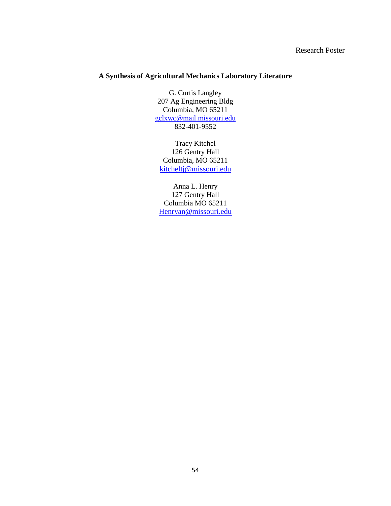# Research Poster

# **A Synthesis of Agricultural Mechanics Laboratory Literature**

G. Curtis Langley 207 Ag Engineering Bldg Columbia, MO 65211 [gclxwc@mail.missouri.edu](mailto:gclxwc@mail.missouri.edu) 832-401-9552

Tracy Kitchel 126 Gentry Hall Columbia, MO 65211 [kitcheltj@missouri.edu](mailto:kitcheltj@missouri.edu)

Anna L. Henry 127 Gentry Hall Columbia MO 65211 [Henryan@missouri.edu](mailto:Henryan@missouri.edu)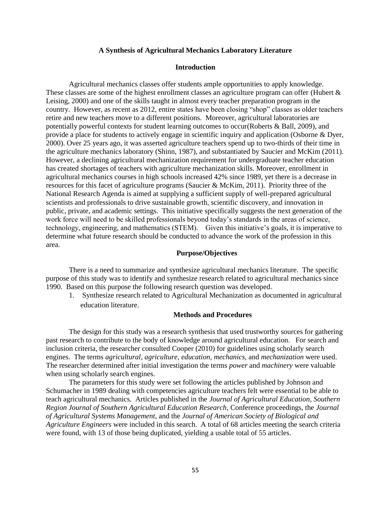#### **A Synthesis of Agricultural Mechanics Laboratory Literature**

### **Introduction**

Agricultural mechanics classes offer students ample opportunities to apply knowledge. These classes are some of the highest enrollment classes an agriculture program can offer (Hubert & [Leising, 2000\)](#page-56-0) and one of the skills taught in almost every teacher preparation program in the country. However, as recent as 2012, entire states have been closing "shop" classes as older teachers retire and new teachers move to a different positions. Moreover, agricultural laboratories are potentially powerful contexts for student learning outcomes to occur[\(Roberts & Ball, 2009\)](#page-56-1), and provide a place for students to actively engage in scientific inquiry and application [\(Osborne & Dyer,](#page-56-2)  [2000\)](#page-56-2). Over 25 years ago, it was asserted agriculture teachers spend up to two-thirds of their time in the agriculture mechanics laboratory [\(Shinn, 1987\)](#page-56-3), and substantiated by Saucier and McKim (2011). However, a declining agricultural mechanization requirement for undergraduate teacher education has created shortages of teachers with agriculture mechanization skills. Moreover, enrollment in agricultural mechanics courses in high schools increased 42% since 1989, yet there is a decrease in resources for this facet of agriculture programs [\(Saucier & McKim, 2011\)](#page-56-4). Priority three of the National Research Agenda is aimed at supplying a sufficient supply of well-prepared agricultural scientists and professionals to drive sustainable growth, scientific discovery, and innovation in public, private, and academic settings. This initiative specifically suggests the next generation of the work force will need to be skilled professionals beyond today's standards in the areas of science, technology, engineering, and mathematics (STEM). Given this initiative's goals, it is imperative to determine what future research should be conducted to advance the work of the profession in this area.

### **Purpose/Objectives**

There is a need to summarize and synthesize agricultural mechanics literature. The specific purpose of this study was to identify and synthesize research related to agricultural mechanics since 1990. Based on this purpose the following research question was developed.

1. Synthesize research related to Agricultural Mechanization as documented in agricultural education literature.

### **Methods and Procedures**

The design for this study was a research synthesis that used trustworthy sources for gathering past research to contribute to the body of knowledge around agricultural education. For search and inclusion criteria, the researcher consulted Cooper (2010) for guidelines using scholarly search engines. The terms *agricultural*, *agriculture*, *education*, *mechanics*, and *mechanization* were used. The researcher determined after initial investigation the terms *power* and *machinery* were valuable when using scholarly search engines.

The parameters for this study were set following the articles published by Johnson and Schumacher in 1989 dealing with competencies agriculture teachers felt were essential to be able to teach agricultural mechanics. Articles published in the *Journal of Agricultural Education*, *Southern Region Journal of Southern Agricultural Education Research*, Conference proceedings, the *Journal of Agricultural Systems Management*, and the *Journal of American Society of Biological and Agriculture Engineers* were included in this search. A total of 68 articles meeting the search criteria were found, with 13 of those being duplicated, yielding a usable total of 55 articles.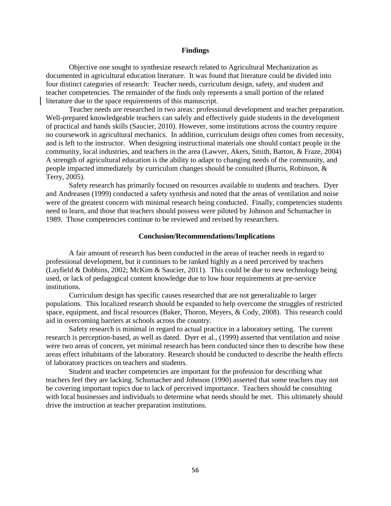#### **Findings**

Objective one sought to synthesize research related to Agricultural Mechanization as documented in agricultural education literature. It was found that literature could be divided into four distinct categories of research: Teacher needs, curriculum design, safety, and student and teacher competencies. The remainder of the finds only represents a small portion of the related literature due to the space requirements of this manuscript.

Teacher needs are researched in two areas: professional development and teacher preparation. Well-prepared knowledgeable teachers can safely and effectively guide students in the development of practical and hands skills (Saucier, 2010). However, some institutions across the country require no coursework in agricultural mechanics. In addition, curriculum design often comes from necessity, and is left to the instructor. When designing instructional materials one should contact people in the community, local industries, and teachers in the area (Lawver, Akers, Smith, Barton, & Fraze, 2004) A strength of agricultural education is the ability to adapt to changing needs of the community, and people impacted immediately by curriculum changes should be consulted (Burris, Robinson, & Terry, 2005).

Safety research has primarily focused on resources available to students and teachers. Dyer and Andreasen (1999) conducted a safety synthesis and noted that the areas of ventilation and noise were of the greatest concern with minimal research being conducted. Finally, competencies students need to learn, and those that teachers should possess were piloted by Johnson and Schumacher in 1989. Those competencies continue to be reviewed and revised by researchers.

#### **Conclusion/Recommendations/Implications**

A fair amount of research has been conducted in the areas of teacher needs in regard to professional development, but it continues to be ranked highly as a need perceived by teachers (Layfield & Dobbins, 2002; McKim & Saucier, 2011). This could be due to new technology being used, or lack of pedagogical content knowledge due to low hour requirements at pre-service institutions.

Curriculum design has specific causes researched that are not generalizable to larger populations. This localized research should be expanded to help overcome the struggles of restricted space, equipment, and fiscal resources (Baker, Thoron, Meyers, & Cody, 2008). This research could aid in overcoming barriers at schools across the country.

Safety research is minimal in regard to actual practice in a laboratory setting. The current research is perception-based, as well as dated. Dyer et al., (1999) asserted that ventilation and noise were two areas of concern, yet minimal research has been conducted since then to describe how these areas effect inhabitants of the laboratory. Research should be conducted to describe the health effects of laboratory practices on teachers and students.

Student and teacher competencies are important for the profession for describing what teachers feel they are lacking. Schumacher and Johnson (1990) asserted that some teachers may not be covering important topics due to lack of perceived importance. Teachers should be consulting with local businesses and individuals to determine what needs should be met. This ultimately should drive the instruction at teacher preparation institutions.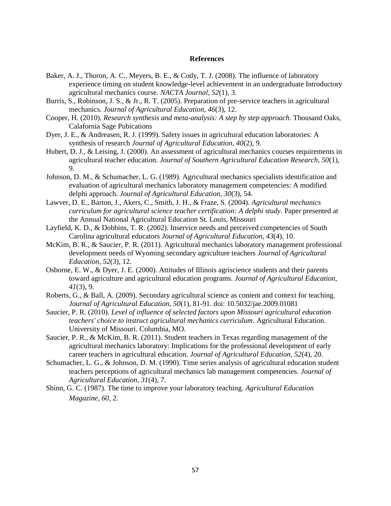- <span id="page-56-0"></span>Baker, A. J., Thoron, A. C., Meyers, B. E., & Cody, T. J. (2008). The influence of laboratory experience timing on student knowledge-level achievement in an undergraduate Introductory agricultural mechanics course. *NACTA Journal, 52*(1), 3.
- <span id="page-56-2"></span>Burris, S., Robinson, J. S., & Jr., R. T. (2005). Preparation of pre-service teachers in agricultural mechanics. *Journal of Agricultural Education, 46*(3), 12.
- <span id="page-56-1"></span>Cooper, H. (2010). *Research synthesis and meta-analysis: A step by step approach*. Thousand Oaks, Calafornia Sage Pubications
- <span id="page-56-4"></span>Dyer, J. E., & Andreasen, R. J. (1999). Safety issues in agricultural education laboratories: A synthesis of research *Journal of Agricultural Education, 40*(2), 9.
- <span id="page-56-3"></span>Hubert, D. J., & Leising, J. (2000). An assessment of agricultural mechanics courses requirements in agricultural teacher education. *Journal of Southern Agricultural Education Research, 50*(1), 9.
- <span id="page-56-6"></span>Johnson, D. M., & Schumacher, L. G. (1989). Agricultural mechanics specialists identification and evaluation of agricultural mechanics laboratory management competencies: A modified delphi approach. *Journal of Agricultural Education, 30*(3), 54.
- <span id="page-56-5"></span>Lawver, D. E., Barton, J., Akers, C., Smith, J. H., & Fraze, S. (2004). *Agricultural mechanics curriculum for agricultural science teacher certification: A delphi study*. Paper presented at the Annual National Agricultural Education St. Louis, Missouri
- <span id="page-56-7"></span>Layfield, K. D., & Dobbins, T. R. (2002). Inservice needs and perceived competencies of South Carolina agricultural educators *Journal of Agricultural Education, 43*(4), 10.
- McKim, B. R., & Saucier, P. R. (2011). Agricultural mechanics laboratory management professional development needs of Wyoming secondary agriculture teachers *Journal of Agricultural Education, 52*(3), 12.
- Osborne, E. W., & Dyer, J. E. (2000). Attitudes of Illinois agriscience students and their parents toward agriculture and agricultural education programs. *Journal of Agricultural Education, 41*(3), 9.
- Roberts, G., & Ball, A. (2009). Secondary agricultural science as content and context for teaching. *Journal of Agricultural Education, 50*(1), 81-91. doi: 10.5032/jae.2009.01081
- Saucier, P. R. (2010). *Level of influence of selected factors upon Missouri agricultural education teachers' choice to instruct agricultural mechanics curriculum*. Agricultural Education. University of Missouri. Columbia, MO.
- Saucier, P. R., & McKim, B. R. (2011). Student teachers in Texas regarding management of the agricultural mechanics laboratory: Implications for the professional development of early career teachers in agricultural education. *Journal of Agricultural Education, 52*(4), 20.
- Schumacher, L. G., & Johnson, D. M. (1990). Time series analysis of agricultural education student teachers perceptions of agricultural mechanics lab management competencies. *Journal of Agricultural Education, 31*(4), 7.
- Shinn, G. C. (1987). The time to improve your laboratory teaching. *Agricultural Education Magazine, 60,* 2.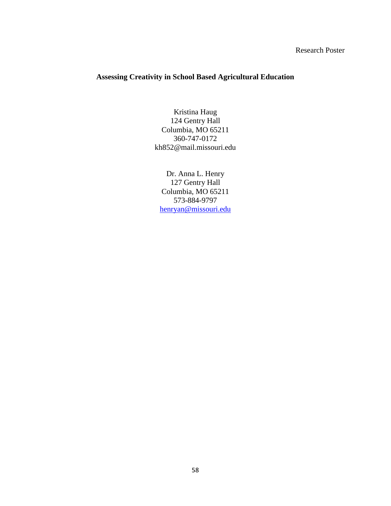# Research Poster

# **Assessing Creativity in School Based Agricultural Education**

Kristina Haug 124 Gentry Hall Columbia, MO 65211 360-747-0172 kh852@mail.missouri.edu

Dr. Anna L. Henry 127 Gentry Hall Columbia, MO 65211 573-884-9797 [henryan@missouri.edu](mailto:henryan@missouri.edu)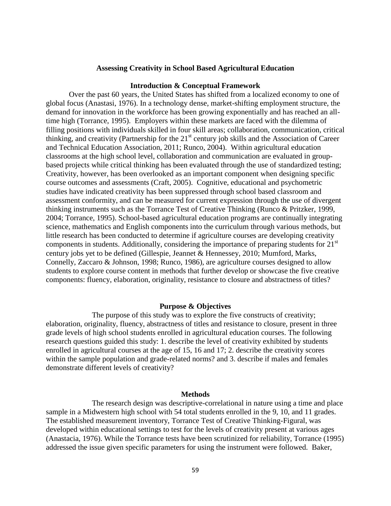### **Assessing Creativity in School Based Agricultural Education**

#### **Introduction & Conceptual Framework**

Over the past 60 years, the United States has shifted from a localized economy to one of global focus (Anastasi, 1976). In a technology dense, market-shifting employment structure, the demand for innovation in the workforce has been growing exponentially and has reached an alltime high (Torrance, 1995). Employers within these markets are faced with the dilemma of filling positions with individuals skilled in four skill areas; collaboration, communication, critical thinking, and creativity (Partnership for the 21<sup>st</sup> century job skills and the Association of Career and Technical Education Association, 2011; Runco, 2004). Within agricultural education classrooms at the high school level, collaboration and communication are evaluated in groupbased projects while critical thinking has been evaluated through the use of standardized testing; Creativity, however, has been overlooked as an important component when designing specific course outcomes and assessments (Craft, 2005). Cognitive, educational and psychometric studies have indicated creativity has been suppressed through school based classroom and assessment conformity, and can be measured for current expression through the use of divergent thinking instruments such as the Torrance Test of Creative Thinking (Runco & Pritzker, 1999, 2004; Torrance, 1995). School-based agricultural education programs are continually integrating science, mathematics and English components into the curriculum through various methods, but little research has been conducted to determine if agriculture courses are developing creativity components in students. Additionally, considering the importance of preparing students for  $21<sup>st</sup>$ century jobs yet to be defined (Gillespie, Jeannet & Hennessey, 2010; Mumford, Marks, Connelly, Zaccaro & Johnson, 1998; Runco, 1986), are agriculture courses designed to allow students to explore course content in methods that further develop or showcase the five creative components: fluency, elaboration, originality, resistance to closure and abstractness of titles?

### **Purpose & Objectives**

The purpose of this study was to explore the five constructs of creativity; elaboration, originality, fluency, abstractness of titles and resistance to closure, present in three grade levels of high school students enrolled in agricultural education courses. The following research questions guided this study: 1. describe the level of creativity exhibited by students enrolled in agricultural courses at the age of 15, 16 and 17; 2. describe the creativity scores within the sample population and grade-related norms? and 3. describe if males and females demonstrate different levels of creativity?

#### **Methods**

The research design was descriptive-correlational in nature using a time and place sample in a Midwestern high school with 54 total students enrolled in the 9, 10, and 11 grades. The established measurement inventory, Torrance Test of Creative Thinking-Figural, was developed within educational settings to test for the levels of creativity present at various ages (Anastacia, 1976). While the Torrance tests have been scrutinized for reliability, Torrance (1995) addressed the issue given specific parameters for using the instrument were followed. Baker,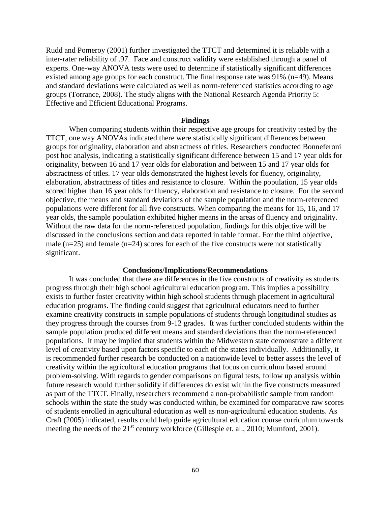Rudd and Pomeroy (2001) further investigated the TTCT and determined it is reliable with a inter-rater reliability of .97. Face and construct validity were established through a panel of experts. One-way ANOVA tests were used to determine if statistically significant differences existed among age groups for each construct. The final response rate was 91% (n=49). Means and standard deviations were calculated as well as norm-referenced statistics according to age groups (Torrance, 2008). The study aligns with the National Research Agenda Priority 5: Effective and Efficient Educational Programs.

#### **Findings**

When comparing students within their respective age groups for creativity tested by the TTCT, one way ANOVAs indicated there were statistically significant differences between groups for originality, elaboration and abstractness of titles. Researchers conducted Bonneferoni post hoc analysis, indicating a statistically significant difference between 15 and 17 year olds for originality, between 16 and 17 year olds for elaboration and between 15 and 17 year olds for abstractness of titles. 17 year olds demonstrated the highest levels for fluency, originality, elaboration, abstractness of titles and resistance to closure. Within the population, 15 year olds scored higher than 16 year olds for fluency, elaboration and resistance to closure. For the second objective, the means and standard deviations of the sample population and the norm-referenced populations were different for all five constructs. When comparing the means for 15, 16, and 17 year olds, the sample population exhibited higher means in the areas of fluency and originality. Without the raw data for the norm-referenced population, findings for this objective will be discussed in the conclusions section and data reported in table format. For the third objective, male  $(n=25)$  and female  $(n=24)$  scores for each of the five constructs were not statistically significant.

### **Conclusions/Implications/Recommendations**

It was concluded that there are differences in the five constructs of creativity as students progress through their high school agricultural education program. This implies a possibility exists to further foster creativity within high school students through placement in agricultural education programs. The finding could suggest that agricultural educators need to further examine creativity constructs in sample populations of students through longitudinal studies as they progress through the courses from 9-12 grades. It was further concluded students within the sample population produced different means and standard deviations than the norm-referenced populations. It may be implied that students within the Midwestern state demonstrate a different level of creativity based upon factors specific to each of the states individually. Additionally, it is recommended further research be conducted on a nationwide level to better assess the level of creativity within the agricultural education programs that focus on curriculum based around problem-solving. With regards to gender comparisons on figural tests, follow up analysis within future research would further solidify if differences do exist within the five constructs measured as part of the TTCT. Finally, researchers recommend a non-probabilistic sample from random schools within the state the study was conducted within, be examined for comparative raw scores of students enrolled in agricultural education as well as non-agricultural education students. As Craft (2005) indicated, results could help guide agricultural education course curriculum towards meeting the needs of the  $21<sup>st</sup>$  century workforce (Gillespie et. al., 2010; Mumford, 2001).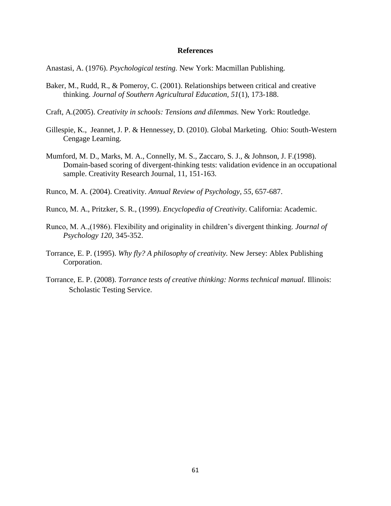Anastasi, A. (1976). *Psychological testing.* New York: Macmillan Publishing.

- Baker, M., Rudd, R., & Pomeroy, C. (2001). Relationships between critical and creative thinking. *Journal of Southern Agricultural Education, 51*(1), 173-188.
- Craft, A.(2005). *Creativity in schools: Tensions and dilemmas.* New York: Routledge.
- Gillespie, K., Jeannet, J. P. & Hennessey, D. (2010). Global Marketing. Ohio: South-Western Cengage Learning.
- Mumford, M. D., Marks, M. A., Connelly, M. S., Zaccaro, S. J., & Johnson, J. F.(1998). Domain-based scoring of divergent-thinking tests: validation evidence in an occupational sample. Creativity Research Journal, 11, 151-163.
- Runco, M. A. (2004). Creativity. *Annual Review of Psychology, 55*, 657-687.

Runco, M. A., Pritzker, S. R., (1999). *Encyclopedia of Creativity*. California: Academic.

- Runco, M. A.,(1986). Flexibility and originality in children's divergent thinking. *Journal of Psychology 120*, 345-352.
- Torrance, E. P. (1995). *Why fly? A philosophy of creativity.* New Jersey: Ablex Publishing Corporation.
- Torrance, E. P. (2008). *Torrance tests of creative thinking: Norms technical manual.* Illinois: Scholastic Testing Service.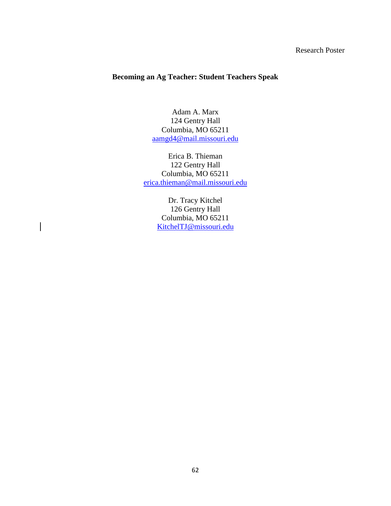# Research Poster

# **Becoming an Ag Teacher: Student Teachers Speak**

Adam A. Marx 124 Gentry Hall Columbia, MO 65211 [aamgd4@mail.missouri.edu](mailto:aamgd4@mail.missouri.edu)

Erica B. Thieman 122 Gentry Hall Columbia, MO 65211 [erica.thieman@mail.missouri.edu](mailto:erica.thieman@mail.missouri.edu)

> Dr. Tracy Kitchel 126 Gentry Hall Columbia, MO 65211 [KitchelTJ@missouri.edu](mailto:KitchelTJ@missouri.edu)

 $\overline{\phantom{a}}$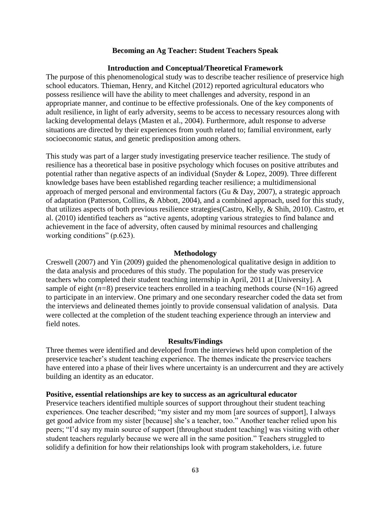### **Becoming an Ag Teacher: Student Teachers Speak**

### **Introduction and Conceptual/Theoretical Framework**

The purpose of this phenomenological study was to describe teacher resilience of preservice high school educators. Thieman, Henry, and Kitchel [\(2012\)](#page-56-5) reported agricultural educators who possess resilience will have the ability to meet challenges and adversity, respond in an appropriate manner, and continue to be effective professionals. One of the key components of adult resilience, in light of early adversity, seems to be access to necessary resources along with lacking developmental delays (Masten et al., 2004). Furthermore, adult response to adverse situations are directed by their experiences from youth related to; familial environment, early socioeconomic status, and genetic predisposition among others.

This study was part of a larger study investigating preservice teacher resilience. The study of resilience has a theoretical base in positive psychology which focuses on positive attributes and potential rather than negative aspects of an individual [\(Snyder & Lopez, 2009\)](#page-56-6). Three different knowledge bases have been established regarding teacher resilience; a multidimensional approach of merged personal and environmental factors [\(Gu & Day, 2007\)](#page-56-1), a strategic approach of adaptation [\(Patterson, Collins, & Abbott, 2004\)](#page-56-4), and a combined approach, used for this study, that utilizes aspects of both previous resilience strategies[\(Castro, Kelly, & Shih, 2010\)](#page-56-0). Castro, et al. [\(2010\)](#page-56-0) identified teachers as "active agents, adopting various strategies to find balance and achievement in the face of adversity, often caused by minimal resources and challenging working conditions" (p.623).

#### **Methodology**

Creswell [\(2007\)](#page-56-2) and Yin [\(2009\)](#page-56-7) guided the phenomenological qualitative design in addition to the data analysis and procedures of this study. The population for the study was preservice teachers who completed their student teaching internship in April, 2011 at [University]. A sample of eight  $(n=8)$  preservice teachers enrolled in a teaching methods course  $(N=16)$  agreed to participate in an interview. One primary and one secondary researcher coded the data set from the interviews and delineated themes jointly to provide consensual validation of analysis. Data were collected at the completion of the student teaching experience through an interview and field notes.

#### **Results/Findings**

Three themes were identified and developed from the interviews held upon completion of the preservice teacher's student teaching experience. The themes indicate the preservice teachers have entered into a phase of their lives where uncertainty is an undercurrent and they are actively building an identity as an educator.

### **Positive, essential relationships are key to success as an agricultural educator**

Preservice teachers identified multiple sources of support throughout their student teaching experiences. One teacher described; "my sister and my mom [are sources of support], I always get good advice from my sister [because] she's a teacher, too." Another teacher relied upon his peers; "I'd say my main source of support [throughout student teaching] was visiting with other student teachers regularly because we were all in the same position." Teachers struggled to solidify a definition for how their relationships look with program stakeholders, i.e. future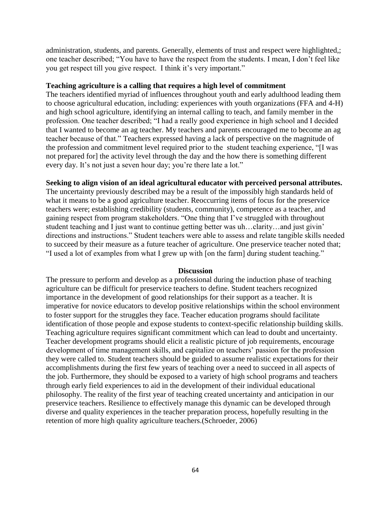administration, students, and parents. Generally, elements of trust and respect were highlighted,; one teacher described; "You have to have the respect from the students. I mean, I don't feel like you get respect till you give respect. I think it's very important."

## **Teaching agriculture is a calling that requires a high level of commitment**

The teachers identified myriad of influences throughout youth and early adulthood leading them to choose agricultural education, including: experiences with youth organizations (FFA and 4-H) and high school agriculture, identifying an internal calling to teach, and family member in the profession. One teacher described; "I had a really good experience in high school and I decided that I wanted to become an ag teacher. My teachers and parents encouraged me to become an ag teacher because of that." Teachers expressed having a lack of perspective on the magnitude of the profession and commitment level required prior to the student teaching experience, "[I was not prepared for] the activity level through the day and the how there is something different every day. It's not just a seven hour day; you're there late a lot."

# **Seeking to align vision of an ideal agricultural educator with perceived personal attributes.**

The uncertainty previously described may be a result of the impossibly high standards held of what it means to be a good agriculture teacher. Reoccurring items of focus for the preservice teachers were; establishing credibility (students, community), competence as a teacher, and gaining respect from program stakeholders. "One thing that I've struggled with throughout student teaching and I just want to continue getting better was uh…clarity…and just givin' directions and instructions." Student teachers were able to assess and relate tangible skills needed to succeed by their measure as a future teacher of agriculture. One preservice teacher noted that; "I used a lot of examples from what I grew up with [on the farm] during student teaching."

### **Discussion**

The pressure to perform and develop as a professional during the induction phase of teaching agriculture can be difficult for preservice teachers to define. Student teachers recognized importance in the development of good relationships for their support as a teacher. It is imperative for novice educators to develop positive relationships within the school environment to foster support for the struggles they face. Teacher education programs should facilitate identification of those people and expose students to context-specific relationship building skills. Teaching agriculture requires significant commitment which can lead to doubt and uncertainty. Teacher development programs should elicit a realistic picture of job requirements, encourage development of time management skills, and capitalize on teachers' passion for the profession they were called to. Student teachers should be guided to assume realistic expectations for their accomplishments during the first few years of teaching over a need to succeed in all aspects of the job. Furthermore, they should be exposed to a variety of high school programs and teachers through early field experiences to aid in the development of their individual educational philosophy. The reality of the first year of teaching created uncertainty and anticipation in our preservice teachers. Resilience to effectively manage this dynamic can be developed through diverse and quality experiences in the teacher preparation process, hopefully resulting in the retention of more high quality agriculture teachers.[\(Schroeder, 2006\)](#page-56-3)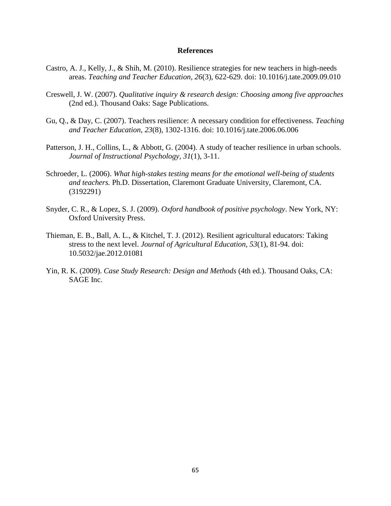- Castro, A. J., Kelly, J., & Shih, M. (2010). Resilience strategies for new teachers in high-needs areas. *Teaching and Teacher Education, 26*(3), 622-629. doi: 10.1016/j.tate.2009.09.010
- Creswell, J. W. (2007). *Qualitative inquiry & research design: Choosing among five approaches* (2nd ed.). Thousand Oaks: Sage Publications.
- Gu, Q., & Day, C. (2007). Teachers resilience: A necessary condition for effectiveness. *Teaching and Teacher Education, 23*(8), 1302-1316. doi: 10.1016/j.tate.2006.06.006
- Patterson, J. H., Collins, L., & Abbott, G. (2004). A study of teacher resilience in urban schools. *Journal of Instructional Psychology, 31*(1), 3-11.
- Schroeder, L. (2006). *What high-stakes testing means for the emotional well-being of students and teachers.* Ph.D. Dissertation, Claremont Graduate University, Claremont, CA. (3192291)
- Snyder, C. R., & Lopez, S. J. (2009). *Oxford handbook of positive psychology*. New York, NY: Oxford University Press.
- Thieman, E. B., Ball, A. L., & Kitchel, T. J. (2012). Resilient agricultural educators: Taking stress to the next level. *Journal of Agricultural Education, 53*(1), 81-94. doi: 10.5032/jae.2012.01081
- Yin, R. K. (2009). *Case Study Research: Design and Methods* (4th ed.). Thousand Oaks, CA: SAGE Inc.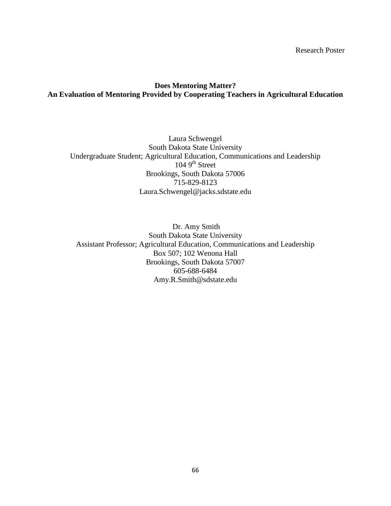Research Poster

# **Does Mentoring Matter? An Evaluation of Mentoring Provided by Cooperating Teachers in Agricultural Education**

Laura Schwengel South Dakota State University Undergraduate Student; Agricultural Education, Communications and Leadership  $1049^{\text{th}}$  Street Brookings, South Dakota 57006 715-829-8123 Laura.Schwengel@jacks.sdstate.edu

Dr. Amy Smith South Dakota State University Assistant Professor; Agricultural Education, Communications and Leadership Box 507; 102 Wenona Hall Brookings, South Dakota 57007 605-688-6484 Amy.R.Smith@sdstate.edu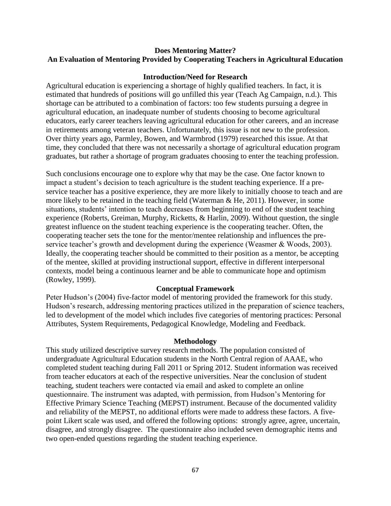# **Does Mentoring Matter? An Evaluation of Mentoring Provided by Cooperating Teachers in Agricultural Education**

# **Introduction/Need for Research**

Agricultural education is experiencing a shortage of highly qualified teachers. In fact, it is estimated that hundreds of positions will go unfilled this year (Teach Ag Campaign, n.d.). This shortage can be attributed to a combination of factors: too few students pursuing a degree in agricultural education, an inadequate number of students choosing to become agricultural educators, early career teachers leaving agricultural education for other careers, and an increase in retirements among veteran teachers. Unfortunately, this issue is not new to the profession. Over thirty years ago, Parmley, Bowen, and Warmbrod (1979) researched this issue. At that time, they concluded that there was not necessarily a shortage of agricultural education program graduates, but rather a shortage of program graduates choosing to enter the teaching profession.

Such conclusions encourage one to explore why that may be the case. One factor known to impact a student's decision to teach agriculture is the student teaching experience. If a preservice teacher has a positive experience, they are more likely to initially choose to teach and are more likely to be retained in the teaching field (Waterman & He, 2011). However, in some situations, students' intention to teach decreases from beginning to end of the student teaching experience (Roberts, Greiman, Murphy, Ricketts, & Harlin, 2009). Without question, the single greatest influence on the student teaching experience is the cooperating teacher. Often, the cooperating teacher sets the tone for the mentor/mentee relationship and influences the preservice teacher's growth and development during the experience (Weasmer & Woods, 2003). Ideally, the cooperating teacher should be committed to their position as a mentor, be accepting of the mentee, skilled at providing instructional support, effective in different interpersonal contexts, model being a continuous learner and be able to communicate hope and optimism (Rowley, 1999).

# **Conceptual Framework**

Peter Hudson's (2004) five-factor model of mentoring provided the framework for this study. Hudson's research, addressing mentoring practices utilized in the preparation of science teachers, led to development of the model which includes five categories of mentoring practices: Personal Attributes, System Requirements, Pedagogical Knowledge, Modeling and Feedback.

### **Methodology**

This study utilized descriptive survey research methods. The population consisted of undergraduate Agricultural Education students in the North Central region of AAAE, who completed student teaching during Fall 2011 or Spring 2012. Student information was received from teacher educators at each of the respective universities. Near the conclusion of student teaching, student teachers were contacted via email and asked to complete an online questionnaire. The instrument was adapted, with permission, from Hudson's Mentoring for Effective Primary Science Teaching (MEPST) instrument. Because of the documented validity and reliability of the MEPST, no additional efforts were made to address these factors. A fivepoint Likert scale was used, and offered the following options: strongly agree, agree, uncertain, disagree, and strongly disagree. The questionnaire also included seven demographic items and two open-ended questions regarding the student teaching experience.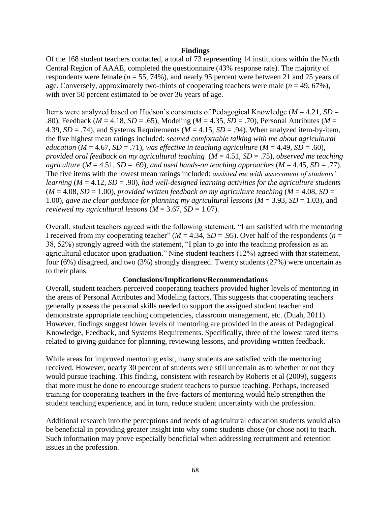### **Findings**

Of the 168 student teachers contacted, a total of 73 representing 14 institutions within the North Central Region of AAAE, completed the questionnaire (43% response rate). The majority of respondents were female (*n* = 55, 74%), and nearly 95 percent were between 21 and 25 years of age. Conversely, approximately two-thirds of cooperating teachers were male  $(n = 49, 67\%)$ , with over 50 percent estimated to be over 36 years of age.

Items were analyzed based on Hudson's constructs of Pedagogical Knowledge (*M* = 4.21*, SD* = .80), Feedback (*M* = 4.18*, SD* = .65), Modeling (*M* = 4.35*, SD* = .70), Personal Attributes (*M* = 4.39,  $SD = .74$ ), and Systems Requirements ( $M = 4.15$ ,  $SD = .94$ ). When analyzed item-by-item, the five highest mean ratings included: *seemed comfortable talking with me about agricultural education* ( $M = 4.67$ ,  $SD = .71$ ), was effective in teaching agriculture ( $M = 4.49$ ,  $SD = .60$ ), *provided oral feedback on my agricultural teaching* (*M* = 4.51*, SD* = .75)*, observed me teaching agriculture* ( $M = 4.51$ ,  $SD = .69$ )*, and used hands-on teaching approaches* ( $M = 4.45$ ,  $SD = .77$ ). The five items with the lowest mean ratings included: *assisted me with assessment of students' learning* (*M* = 4.12*, SD* = .90), *had well-designed learning activities for the agriculture students*   $(M = 4.08, SD = 1.00)$ , *provided written feedback on my agriculture teaching*  $(M = 4.08, SD = 1.00)$ 1.00)*, gave me clear guidance for planning my agricultural lessons*  $(M = 3.93, SD = 1.03)$ *, and reviewed my agricultural lessons*  $(M = 3.67, SD = 1.07)$ .

Overall, student teachers agreed with the following statement, "I am satisfied with the mentoring I received from my cooperating teacher" ( $M = 4.34$ ,  $SD = .95$ ). Over half of the respondents ( $n =$ 38, 52%) strongly agreed with the statement, "I plan to go into the teaching profession as an agricultural educator upon graduation." Nine student teachers (12%) agreed with that statement, four (6%) disagreed, and two (3%) strongly disagreed. Twenty students (27%) were uncertain as to their plans.

# **Conclusions/Implications/Recommendations**

Overall, student teachers perceived cooperating teachers provided higher levels of mentoring in the areas of Personal Attributes and Modeling factors. This suggests that cooperating teachers generally possess the personal skills needed to support the assigned student teacher and demonstrate appropriate teaching competencies, classroom management, etc. (Duah, 2011). However, findings suggest lower levels of mentoring are provided in the areas of Pedagogical Knowledge, Feedback, and Systems Requirements. Specifically, three of the lowest rated items related to giving guidance for planning, reviewing lessons, and providing written feedback.

While areas for improved mentoring exist, many students are satisfied with the mentoring received. However, nearly 30 percent of students were still uncertain as to whether or not they would pursue teaching. This finding, consistent with research by Roberts et al (2009), suggests that more must be done to encourage student teachers to pursue teaching. Perhaps, increased training for cooperating teachers in the five-factors of mentoring would help strengthen the student teaching experience, and in turn, reduce student uncertainty with the profession.

Additional research into the perceptions and needs of agricultural education students would also be beneficial in providing greater insight into why some students chose (or chose not) to teach. Such information may prove especially beneficial when addressing recruitment and retention issues in the profession.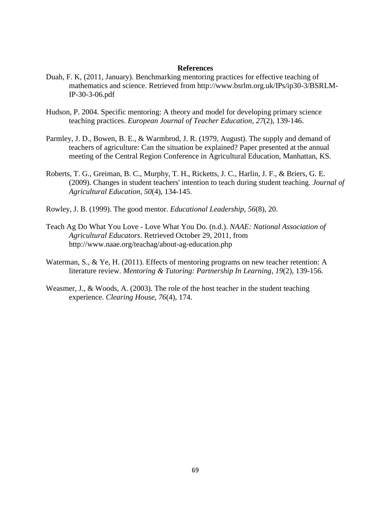- Duah, F. K, (2011, January). Benchmarking mentoring practices for effective teaching of mathematics and science. Retrieved from http://www.bsrlm.org.uk/IPs/ip30-3/BSRLM-IP-30-3-06.pdf
- Hudson, P. 2004. Specific mentoring: A theory and model for developing primary science teaching practices. *European Journal of Teacher Education, 27*(2), 139-146.
- Parmley, J. D., Bowen, B. E., & Warmbrod, J. R. (1979, August). The supply and demand of teachers of agriculture: Can the situation be explained? Paper presented at the annual meeting of the Central Region Conference in Agricultural Education, Manhattan, KS.
- Roberts, T. G., Greiman, B. C., Murphy, T. H., Ricketts, J. C., Harlin, J. F., & Briers, G. E. (2009). Changes in student teachers' intention to teach during student teaching. *Journal of Agricultural Education*, *50*(4), 134-145.
- Rowley, J. B. (1999). The good mentor. *Educational Leadership*, *56*(8), 20.
- Teach Ag Do What You Love Love What You Do. (n.d.). *NAAE: National Association of Agricultural Educators*. Retrieved October 29, 2011, from http://www.naae.org/teachag/about-ag-education.php
- Waterman, S., & Ye, H. (2011). Effects of mentoring programs on new teacher retention: A literature review. *Mentoring & Tutoring: Partnership In Learning*, *19*(2), 139-156.
- Weasmer, J., & Woods, A. (2003). The role of the host teacher in the student teaching experience. *Clearing House*, *76*(4), 174.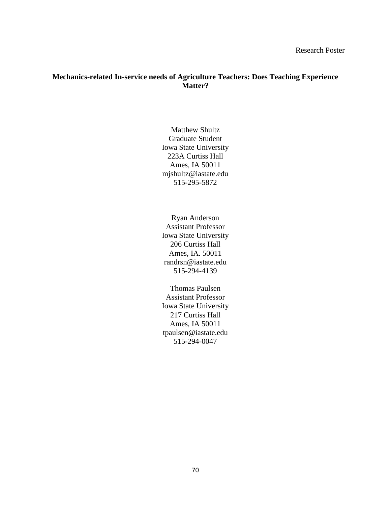# **Mechanics-related In-service needs of Agriculture Teachers: Does Teaching Experience Matter?**

Matthew Shultz Graduate Student Iowa State University 223A Curtiss Hall Ames, IA 50011 mjshultz@iastate.edu 515-295-5872

Ryan Anderson Assistant Professor Iowa State University 206 Curtiss Hall Ames, IA. 50011 randrsn@iastate.edu 515-294-4139

Thomas Paulsen Assistant Professor Iowa State University 217 Curtiss Hall Ames, IA 50011 tpaulsen@iastate.edu 515-294-0047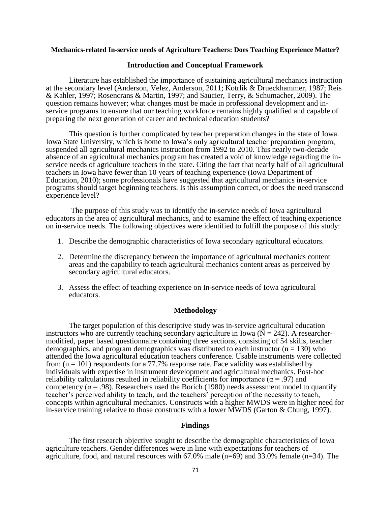#### **Mechanics-related In-service needs of Agriculture Teachers: Does Teaching Experience Matter?**

### **Introduction and Conceptual Framework**

Literature has established the importance of sustaining agricultural mechanics instruction at the secondary level (Anderson, Velez, Anderson, 2011; Kotrlik & Drueckhammer, 1987; Reis & Kahler, 1997; Rosencrans & Martin, 1997; and Saucier, Terry, & Schumacher, 2009). The question remains however; what changes must be made in professional development and inservice programs to ensure that our teaching workforce remains highly qualified and capable of preparing the next generation of career and technical education students?

This question is further complicated by teacher preparation changes in the state of Iowa. Iowa State University, which is home to Iowa's only agricultural teacher preparation program, suspended all agricultural mechanics instruction from 1992 to 2010. This nearly two-decade absence of an agricultural mechanics program has created a void of knowledge regarding the inservice needs of agriculture teachers in the state. Citing the fact that nearly half of all agricultural teachers in Iowa have fewer than 10 years of teaching experience (Iowa Department of Education, 2010); some professionals have suggested that agricultural mechanics in-service programs should target beginning teachers. Is this assumption correct, or does the need transcend experience level?

The purpose of this study was to identify the in-service needs of Iowa agricultural educators in the area of agricultural mechanics, and to examine the effect of teaching experience on in-service needs. The following objectives were identified to fulfill the purpose of this study:

- 1. Describe the demographic characteristics of Iowa secondary agricultural educators.
- 2. Determine the discrepancy between the importance of agricultural mechanics content areas and the capability to teach agricultural mechanics content areas as perceived by secondary agricultural educators.
- 3. Assess the effect of teaching experience on In-service needs of Iowa agricultural educators.

### **Methodology**

The target population of this descriptive study was in-service agricultural education instructors who are currently teaching secondary agriculture in Iowa ( $\overline{N} = 242$ ). A researchermodified, paper based questionnaire containing three sections, consisting of 54 skills, teacher demographics, and program demographics was distributed to each instructor  $(n = 130)$  who attended the Iowa agricultural education teachers conference. Usable instruments were collected from  $(n = 101)$  respondents for a 77.7% response rate. Face validity was established by individuals with expertise in instrument development and agricultural mechanics. Post-hoc reliability calculations resulted in reliability coefficients for importance ( $\alpha$  = .97) and competency ( $\alpha$  = .98). Researchers used the Borich (1980) needs assessment model to quantify teacher's perceived ability to teach, and the teachers' perception of the necessity to teach, concepts within agricultural mechanics. Constructs with a higher MWDS were in higher need for in-service training relative to those constructs with a lower MWDS (Garton & Chung, 1997).

### **Findings**

The first research objective sought to describe the demographic characteristics of Iowa agriculture teachers. Gender differences were in line with expectations for teachers of agriculture, food, and natural resources with 67.0% male (n=69) and 33.0% female (n=34). The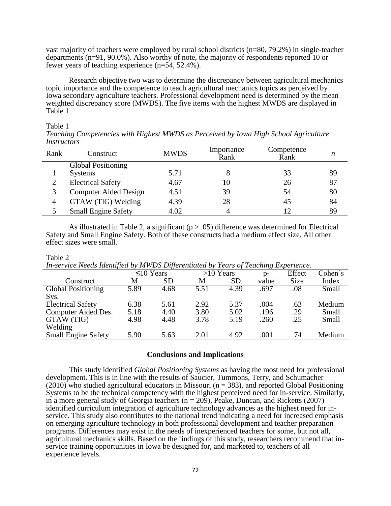vast majority of teachers were employed by rural school districts (n=80, 79.2%) in single-teacher departments (n=91, 90.0%). Also worthy of note, the majority of respondents reported 10 or fewer years of teaching experience (n=54, 52.4%).

Research objective two was to determine the discrepancy between agricultural mechanics topic importance and the competence to teach agricultural mechanics topics as perceived by Iowa secondary agriculture teachers. Professional development need is determined by the mean weighted discrepancy score (MWDS). The five items with the highest MWDS are displayed in Table 1.

#### Table 1

| 110001000010<br>Rank | Construct                  | <b>MWDS</b> | Importance<br>Rank | Competence<br>Rank |    |
|----------------------|----------------------------|-------------|--------------------|--------------------|----|
|                      | <b>Global Positioning</b>  |             |                    |                    |    |
|                      | <b>Systems</b>             | 5.71        |                    | 33                 | 89 |
| ∍                    | <b>Electrical Safety</b>   | 4.67        | 10                 | 26                 | 87 |
|                      | Computer Aided Design      | 4.51        | 39                 | 54                 | 80 |
| 4                    | GTAW (TIG) Welding         | 4.39        | 28                 | 45                 | 84 |
|                      | <b>Small Engine Safety</b> | 4.02        |                    | 12                 | 89 |

*Teaching Competencies with Highest MWDS as Perceived by Iowa High School Agriculture Instructors*

As illustrated in Table 2, a significant ( $p > .05$ ) difference was determined for Electrical Safety and Small Engine Safety. Both of these constructs had a medium effect size. All other effect sizes were small.

#### Table 2

*In-service Needs Identified by MWDS Differentiated by Years of Teaching Experience.* 

| The set five freews fuerwijfeld by the HDS Differentiated by Teams of Teaching Experience. |           |             |           |       |        |         |  |  |  |  |  |
|--------------------------------------------------------------------------------------------|-----------|-------------|-----------|-------|--------|---------|--|--|--|--|--|
| $\leq 10$ Years                                                                            |           | $>10$ Years |           | $p-$  | Effect | Cohen's |  |  |  |  |  |
| M                                                                                          | <b>SD</b> | M           | <b>SD</b> | value | Size   | Index   |  |  |  |  |  |
| 5.89                                                                                       | 4.68      | 5.51        | 4.39      | .697  | .08    | Small   |  |  |  |  |  |
|                                                                                            |           |             |           |       |        |         |  |  |  |  |  |
| 6.38                                                                                       | 5.61      | 2.92        | 5.37      | .004  | .63    | Medium  |  |  |  |  |  |
| 5.18                                                                                       | 4.40      | 3.80        | 5.02      | .196  | .29    | Small   |  |  |  |  |  |
| 4.98                                                                                       | 4.48      | 3.78        | 5.19      | .260  | .25    | Small   |  |  |  |  |  |
|                                                                                            |           |             |           |       |        |         |  |  |  |  |  |
| 5.90                                                                                       | 5.63      | 2.01        | 4.92      | .001  | .74    | Medium  |  |  |  |  |  |
|                                                                                            |           |             |           |       |        |         |  |  |  |  |  |

#### **Conclusions and Implications**

This study identified *Global Positioning Systems* as having the most need for professional development. This is in line with the results of Saucier, Tummons, Terry, and Schumacher  $(2010)$  who studied agricultural educators in Missouri (n = 383), and reported Global Positioning Systems to be the technical competency with the highest perceived need for in-service. Similarly, in a more general study of Georgia teachers ( $n = 209$ ), Peake, Duncan, and Ricketts (2007) identified curriculum integration of agriculture technology advances as the highest need for inservice. This study also contributes to the national trend indicating a need for increased emphasis on emerging agriculture technology in both professional development and teacher preparation programs. Differences may exist in the needs of inexperienced teachers for some, but not all, agricultural mechanics skills. Based on the findings of this study, researchers recommend that inservice training opportunities in Iowa be designed for, and marketed to, teachers of all experience levels.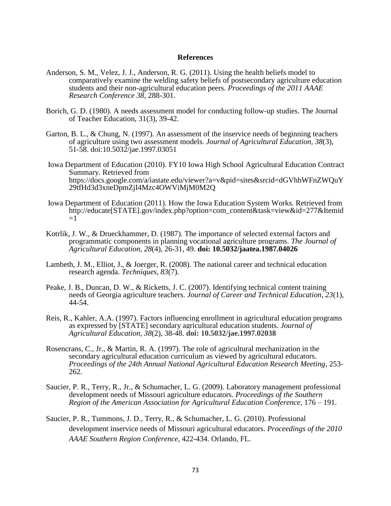- Anderson, S. M., Velez, J. J., Anderson, R. G. (2011). Using the health beliefs model to comparatively examine the welding safety beliefs of postsecondary agriculture education students and their non-agricultural education peers. *Proceedings of the 2011 AAAE Research Conference 38,* 288-301.
- Borich, G. D. (1980). A needs assessment model for conducting follow-up studies. The Journal of Teacher Education, 31(3), 39-42.
- Garton, B. L., & Chung, N. (1997). An assessment of the inservice needs of beginning teachers of agriculture using two assessment models. *Journal of Agricultural Education, 38*(3), 51-58. doi:10.5032/jae.1997.03051
- Iowa Department of Education (2010). FY10 Iowa High School Agricultural Education Contract Summary. Retrieved from https://docs.google.com/a/iastate.edu/viewer?a=v&pid=sites&srcid=dGVhbWFnZWQuY 29tfHd3d3xneDpmZjI4Mzc4OWViMjM0M2Q
- Iowa Department of Education (2011). How the Iowa Education System Works. Retrieved from http://educate[STATE].gov/index.php?option=com\_content&task=view&id=277&Itemid  $=1$
- Kotrlik, J. W., & Drueckhammer, D. (1987). The importance of selected external factors and programmatic components in planning vocational agriculture programs. *The Journal of Agricultural Education*, *28*(4), 26-31, 49. **doi: 10.5032/jaatea.1987.04026**
- Lambeth, J. M., Elliot, J., & Joerger, R. (2008). The national career and technical education research agenda. *Techniques, 83*(7).
- Peake, J. B., Duncan, D. W., & Ricketts, J. C. (2007). Identifying technical content training needs of Georgia agriculture teachers. *Journal of Career and Technical Education, 23*(1), 44-54.
- Reis, R., Kahler, A.A. (1997). Factors influencing enrollment in agricultural education programs as expressed by [STATE] secondary agricultural education students. *Journal of Agricultural Education, 38*(2), 38-48. **doi: 10.5032/jae.1997.02038**
- Rosencrans, C., Jr., & Martin, R. A. (1997). The role of agricultural mechanization in the secondary agricultural education curriculum as viewed by agricultural educators. *Proceedings of the 24th Annual National Agricultural Education Research Meeting*, 253- 262.
- Saucier, P. R., Terry, R., Jr., & Schumacher, L. G. (2009). Laboratory management professional development needs of Missouri agriculture educators. *Proceedings of the Southern Region of the American Association for Agricultural Education Conference,* 176 – 191.
- Saucier, P. R., Tummons, J. D., Terry, R., & Schumacher, L. G. (2010). Professional development inservice needs of Missouri agricultural educators. *Proceedings of the 2010 AAAE Southern Region Conference*, 422-434. Orlando, FL.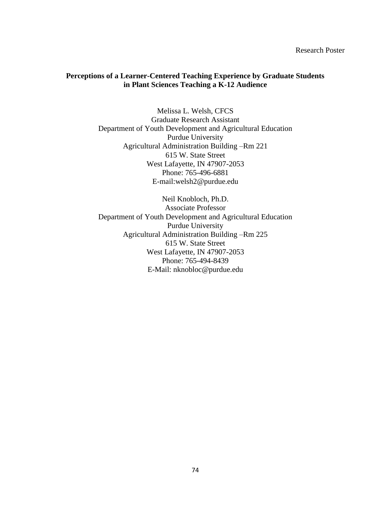Research Poster

### **Perceptions of a Learner-Centered Teaching Experience by Graduate Students in Plant Sciences Teaching a K-12 Audience**

Melissa L. Welsh, CFCS Graduate Research Assistant Department of Youth Development and Agricultural Education Purdue University Agricultural Administration Building –Rm 221 615 W. State Street West Lafayette, IN 47907-2053 Phone: 765-496-6881 E-mail:welsh2@purdue.edu

Neil Knobloch, Ph.D. Associate Professor Department of Youth Development and Agricultural Education Purdue University Agricultural Administration Building –Rm 225 615 W. State Street West Lafayette, IN 47907-2053 Phone: 765-494-8439 E-Mail: nknobloc@purdue.edu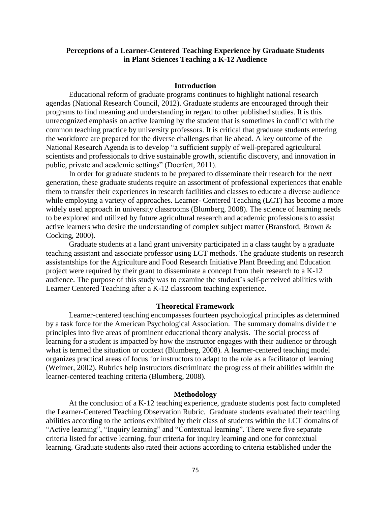### **Perceptions of a Learner-Centered Teaching Experience by Graduate Students in Plant Sciences Teaching a K-12 Audience**

#### **Introduction**

Educational reform of graduate programs continues to highlight national research agendas (National Research Council, 2012). Graduate students are encouraged through their programs to find meaning and understanding in regard to other published studies. It is this unrecognized emphasis on active learning by the student that is sometimes in conflict with the common teaching practice by university professors. It is critical that graduate students entering the workforce are prepared for the diverse challenges that lie ahead. A key outcome of the National Research Agenda is to develop "a sufficient supply of well-prepared agricultural scientists and professionals to drive sustainable growth, scientific discovery, and innovation in public, private and academic settings" (Doerfert, 2011).

In order for graduate students to be prepared to disseminate their research for the next generation, these graduate students require an assortment of professional experiences that enable them to transfer their experiences in research facilities and classes to educate a diverse audience while employing a variety of approaches. Learner- Centered Teaching (LCT) has become a more widely used approach in university classrooms (Blumberg, 2008). The science of learning needs to be explored and utilized by future agricultural research and academic professionals to assist active learners who desire the understanding of complex subject matter (Bransford, Brown & Cocking, 2000).

Graduate students at a land grant university participated in a class taught by a graduate teaching assistant and associate professor using LCT methods. The graduate students on research assistantships for the Agriculture and Food Research Initiative Plant Breeding and Education project were required by their grant to disseminate a concept from their research to a K-12 audience. The purpose of this study was to examine the student's self-perceived abilities with Learner Centered Teaching after a K-12 classroom teaching experience.

#### **Theoretical Framework**

Learner-centered teaching encompasses fourteen psychological principles as determined by a task force for the American Psychological Association. The summary domains divide the principles into five areas of prominent educational theory analysis. The social process of learning for a student is impacted by how the instructor engages with their audience or through what is termed the situation or context (Blumberg, 2008). A learner-centered teaching model organizes practical areas of focus for instructors to adapt to the role as a facilitator of learning (Weimer, 2002). Rubrics help instructors discriminate the progress of their abilities within the learner-centered teaching criteria (Blumberg, 2008).

#### **Methodology**

At the conclusion of a K-12 teaching experience, graduate students post facto completed the Learner-Centered Teaching Observation Rubric. Graduate students evaluated their teaching abilities according to the actions exhibited by their class of students within the LCT domains of "Active learning", "Inquiry learning" and "Contextual learning". There were five separate criteria listed for active learning, four criteria for inquiry learning and one for contextual learning. Graduate students also rated their actions according to criteria established under the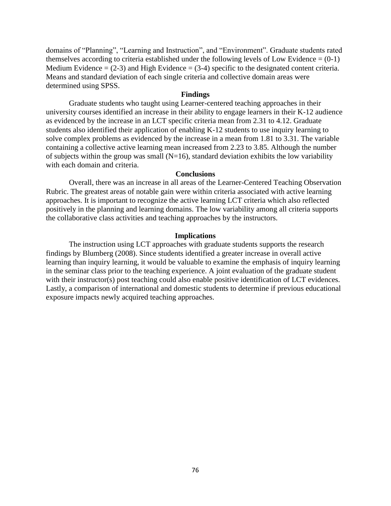domains of "Planning", "Learning and Instruction", and "Environment". Graduate students rated themselves according to criteria established under the following levels of Low Evidence  $= (0-1)$ Medium Evidence =  $(2-3)$  and High Evidence =  $(3-4)$  specific to the designated content criteria. Means and standard deviation of each single criteria and collective domain areas were determined using SPSS.

### **Findings**

Graduate students who taught using Learner-centered teaching approaches in their university courses identified an increase in their ability to engage learners in their K-12 audience as evidenced by the increase in an LCT specific criteria mean from 2.31 to 4.12. Graduate students also identified their application of enabling K-12 students to use inquiry learning to solve complex problems as evidenced by the increase in a mean from 1.81 to 3.31. The variable containing a collective active learning mean increased from 2.23 to 3.85. Although the number of subjects within the group was small  $(N=16)$ , standard deviation exhibits the low variability with each domain and criteria.

### **Conclusions**

Overall, there was an increase in all areas of the Learner-Centered Teaching Observation Rubric. The greatest areas of notable gain were within criteria associated with active learning approaches. It is important to recognize the active learning LCT criteria which also reflected positively in the planning and learning domains. The low variability among all criteria supports the collaborative class activities and teaching approaches by the instructors.

### **Implications**

The instruction using LCT approaches with graduate students supports the research findings by Blumberg (2008). Since students identified a greater increase in overall active learning than inquiry learning, it would be valuable to examine the emphasis of inquiry learning in the seminar class prior to the teaching experience. A joint evaluation of the graduate student with their instructor(s) post teaching could also enable positive identification of LCT evidences. Lastly, a comparison of international and domestic students to determine if previous educational exposure impacts newly acquired teaching approaches.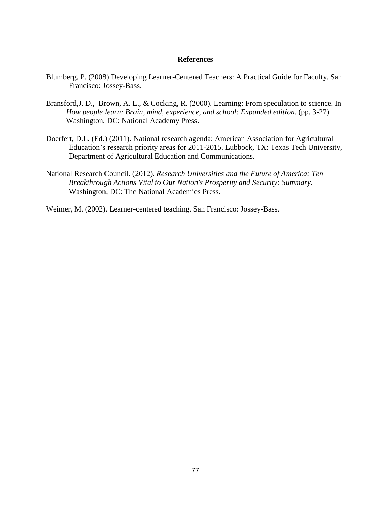- Blumberg, P. (2008) Developing Learner-Centered Teachers: A Practical Guide for Faculty. San Francisco: Jossey-Bass.
- Bransford,J. D., Brown, A. L., & Cocking, R. (2000). Learning: From speculation to science. In *How people learn: Brain, mind, experience, and school: Expanded edition.* (pp. 3-27). Washington, DC: National Academy Press.
- Doerfert, D.L. (Ed.) (2011). National research agenda: American Association for Agricultural Education's research priority areas for 2011-2015. Lubbock, TX: Texas Tech University, Department of Agricultural Education and Communications.
- National Research Council. (2012). *Research Universities and the Future of America: Ten Breakthrough Actions Vital to Our Nation's Prosperity and Security: Summary.* Washington, DC: The National Academies Press.

Weimer, M. (2002). Learner-centered teaching. San Francisco: Jossey-Bass.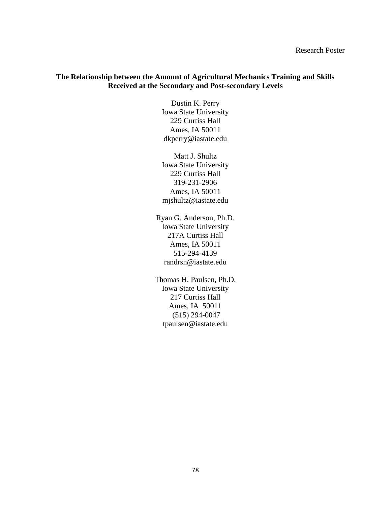### **The Relationship between the Amount of Agricultural Mechanics Training and Skills Received at the Secondary and Post-secondary Levels**

Dustin K. Perry Iowa State University 229 Curtiss Hall Ames, IA 50011 dkperry@iastate.edu

Matt J. Shultz Iowa State University 229 Curtiss Hall 319-231-2906 Ames, IA 50011 mjshultz@iastate.edu

Ryan G. Anderson, Ph.D. Iowa State University 217A Curtiss Hall Ames, IA 50011 515-294-4139 randrsn@iastate.edu

Thomas H. Paulsen, Ph.D. Iowa State University 217 Curtiss Hall Ames, IA 50011 (515) 294-0047 tpaulsen@iastate.edu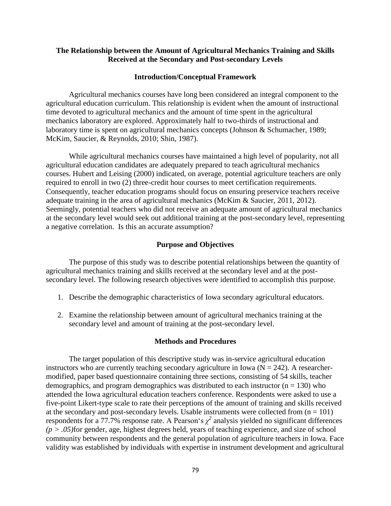### **The Relationship between the Amount of Agricultural Mechanics Training and Skills Received at the Secondary and Post-secondary Levels**

#### **Introduction/Conceptual Framework**

Agricultural mechanics courses have long been considered an integral component to the agricultural education curriculum. This relationship is evident when the amount of instructional time devoted to agricultural mechanics and the amount of time spent in the agricultural mechanics laboratory are explored. Approximately half to two-thirds of instructional and laboratory time is spent on agricultural mechanics concepts (Johnson & Schumacher, 1989; McKim, Saucier, & Reynolds, 2010; Shin, 1987).

While agricultural mechanics courses have maintained a high level of popularity, not all agricultural education candidates are adequately prepared to teach agricultural mechanics courses. Hubert and Leising (2000) indicated, on average, potential agriculture teachers are only required to enroll in two (2) three-credit hour courses to meet certification requirements. Consequently, teacher education programs should focus on ensuring preservice teachers receive adequate training in the area of agricultural mechanics (McKim & Saucier, 2011, 2012). Seemingly, potential teachers who did not receive an adequate amount of agricultural mechanics at the secondary level would seek out additional training at the post-secondary level, representing a negative correlation. Is this an accurate assumption?

#### **Purpose and Objectives**

The purpose of this study was to describe potential relationships between the quantity of agricultural mechanics training and skills received at the secondary level and at the postsecondary level. The following research objectives were identified to accomplish this purpose.

- 1. Describe the demographic characteristics of Iowa secondary agricultural educators.
- 2. Examine the relationship between amount of agricultural mechanics training at the secondary level and amount of training at the post-secondary level.

#### **Methods and Procedures**

The target population of this descriptive study was in-service agricultural education instructors who are currently teaching secondary agriculture in Iowa ( $N = 242$ ). A researchermodified, paper based questionnaire containing three sections, consisting of 54 skills, teacher demographics, and program demographics was distributed to each instructor  $(n = 130)$  who attended the Iowa agricultural education teachers conference. Respondents were asked to use a five-point Likert-type scale to rate their perceptions of the amount of training and skills received at the secondary and post-secondary levels. Usable instruments were collected from  $(n = 101)$ respondents for a 77.7% response rate. A Pearson's  $\chi^2$  analysis yielded no significant differences *(p > .05)*for gender, age, highest degrees held, years of teaching experience, and size of school community between respondents and the general population of agriculture teachers in Iowa. Face validity was established by individuals with expertise in instrument development and agricultural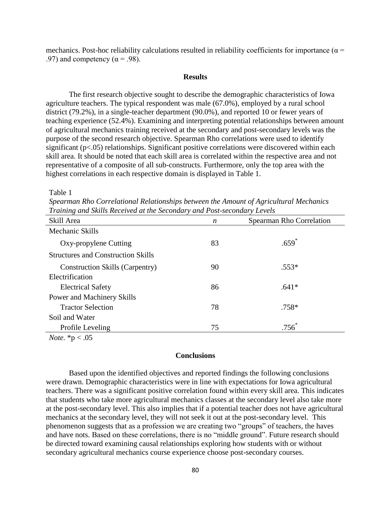mechanics. Post-hoc reliability calculations resulted in reliability coefficients for importance ( $\alpha$  = .97) and competency ( $\alpha$  = .98).

#### **Results**

The first research objective sought to describe the demographic characteristics of Iowa agriculture teachers. The typical respondent was male (67.0%), employed by a rural school district (79.2%), in a single-teacher department (90.0%), and reported 10 or fewer years of teaching experience (52.4%). Examining and interpreting potential relationships between amount of agricultural mechanics training received at the secondary and post-secondary levels was the purpose of the second research objective. Spearman Rho correlations were used to identify significant (p<.05) relationships. Significant positive correlations were discovered within each skill area. It should be noted that each skill area is correlated within the respective area and not representative of a composite of all sub-constructs. Furthermore, only the top area with the highest correlations in each respective domain is displayed in Table 1.

Table 1

*Spearman Rho Correlational Relationships between the Amount of Agricultural Mechanics Training and Skills Received at the Secondary and Post-secondary Levels*

| Skill Area                                | n  | Spearman Rho Correlation |
|-------------------------------------------|----|--------------------------|
| Mechanic Skills                           |    |                          |
| Oxy-propylene Cutting                     | 83 | $.659*$                  |
| <b>Structures and Construction Skills</b> |    |                          |
| <b>Construction Skills (Carpentry)</b>    | 90 | $.553*$                  |
| Electrification                           |    |                          |
| <b>Electrical Safety</b>                  | 86 | $.641*$                  |
| Power and Machinery Skills                |    |                          |
| <b>Tractor Selection</b>                  | 78 | $.758*$                  |
| Soil and Water                            |    |                          |
| Profile Leveling                          | 75 | $.756^*$                 |
|                                           |    |                          |

*Note.* \*p < .05

### **Conclusions**

Based upon the identified objectives and reported findings the following conclusions were drawn. Demographic characteristics were in line with expectations for Iowa agricultural teachers. There was a significant positive correlation found within every skill area. This indicates that students who take more agricultural mechanics classes at the secondary level also take more at the post-secondary level. This also implies that if a potential teacher does not have agricultural mechanics at the secondary level, they will not seek it out at the post-secondary level. This phenomenon suggests that as a profession we are creating two "groups" of teachers, the haves and have nots. Based on these correlations, there is no "middle ground". Future research should be directed toward examining causal relationships exploring how students with or without secondary agricultural mechanics course experience choose post-secondary courses.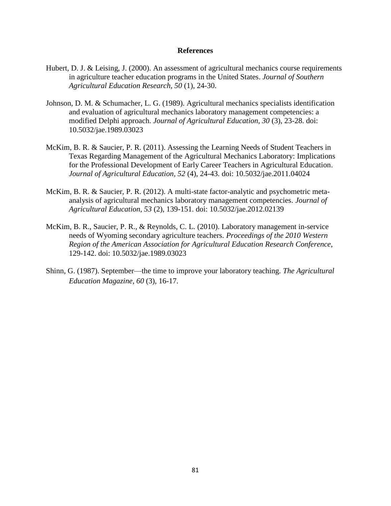- Hubert, D. J. & Leising, J. (2000). An assessment of agricultural mechanics course requirements in agriculture teacher education programs in the United States. *Journal of Southern Agricultural Education Research, 50* (1), 24-30.
- Johnson, D. M. & Schumacher, L. G. (1989). Agricultural mechanics specialists identification and evaluation of agricultural mechanics laboratory management competencies: a modified Delphi approach. *Journal of Agricultural Education, 30* (3), 23-28. doi: 10.5032/jae.1989.03023
- McKim, B. R. & Saucier, P. R. (2011). Assessing the Learning Needs of Student Teachers in Texas Regarding Management of the Agricultural Mechanics Laboratory: Implications for the Professional Development of Early Career Teachers in Agricultural Education. *Journal of Agricultural Education, 52* (4), 24-43. doi: 10.5032/jae.2011.04024
- McKim, B. R. & Saucier, P. R. (2012). A multi-state factor-analytic and psychometric metaanalysis of agricultural mechanics laboratory management competencies. *Journal of Agricultural Education, 53* (2), 139-151. doi: 10.5032/jae.2012.02139
- McKim, B. R., Saucier, P. R., & Reynolds, C. L. (2010). Laboratory management in-service needs of Wyoming secondary agriculture teachers. *Proceedings of the 2010 Western Region of the American Association for Agricultural Education Research Conference*, 129-142. doi: 10.5032/jae.1989.03023
- Shinn, G. (1987). September—the time to improve your laboratory teaching*. The Agricultural Education Magazine*, *60* (3), 16-17.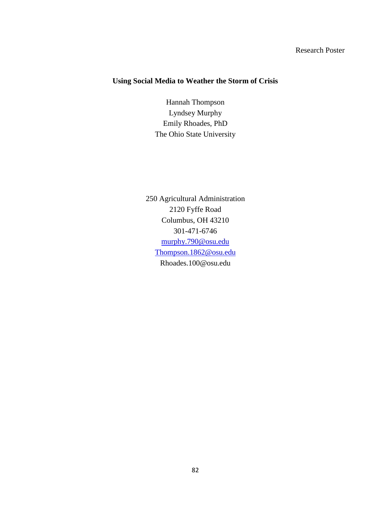# Research Poster

# **Using Social Media to Weather the Storm of Crisis**

Hannah Thompson Lyndsey Murphy Emily Rhoades, PhD The Ohio State University

250 Agricultural Administration 2120 Fyffe Road Columbus, OH 43210 301-471-6746 [murphy.790@osu.edu](mailto:murphy.790@osu.edu) [Thompson.1862@osu.edu](mailto:Thompson.1862@osu.edu) Rhoades.100@osu.edu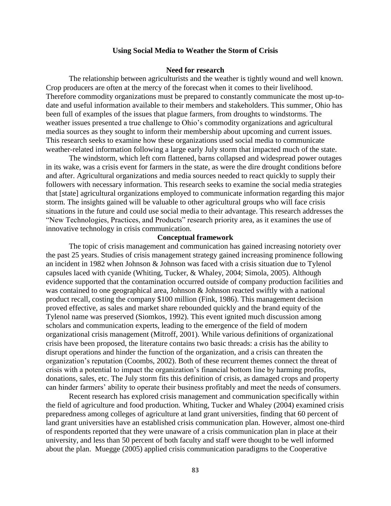### **Using Social Media to Weather the Storm of Crisis**

### **Need for research**

The relationship between agriculturists and the weather is tightly wound and well known. Crop producers are often at the mercy of the forecast when it comes to their livelihood. Therefore commodity organizations must be prepared to constantly communicate the most up-todate and useful information available to their members and stakeholders. This summer, Ohio has been full of examples of the issues that plague farmers, from droughts to windstorms. The weather issues presented a true challenge to Ohio's commodity organizations and agricultural media sources as they sought to inform their membership about upcoming and current issues. This research seeks to examine how these organizations used social media to communicate weather-related information following a large early July storm that impacted much of the state.

The windstorm, which left corn flattened, barns collapsed and widespread power outages in its wake, was a crisis event for farmers in the state, as were the dire drought conditions before and after. Agricultural organizations and media sources needed to react quickly to supply their followers with necessary information. This research seeks to examine the social media strategies that [state] agricultural organizations employed to communicate information regarding this major storm. The insights gained will be valuable to other agricultural groups who will face crisis situations in the future and could use social media to their advantage. This research addresses the "New Technologies, Practices, and Products" research priority area, as it examines the use of innovative technology in crisis communication.

#### **Conceptual framework**

The topic of crisis management and communication has gained increasing notoriety over the past 25 years. Studies of crisis management strategy gained increasing prominence following an incident in 1982 when Johnson & Johnson was faced with a crisis situation due to Tylenol capsules laced with cyanide (Whiting, Tucker, & Whaley, 2004; Simola, 2005). Although evidence supported that the contamination occurred outside of company production facilities and was contained to one geographical area, Johnson & Johnson reacted swiftly with a national product recall, costing the company \$100 million (Fink, 1986). This management decision proved effective, as sales and market share rebounded quickly and the brand equity of the Tylenol name was preserved (Siomkos, 1992). This event ignited much discussion among scholars and communication experts, leading to the emergence of the field of modern organizational crisis management (Mitroff, 2001). While various definitions of organizational crisis have been proposed, the literature contains two basic threads: a crisis has the ability to disrupt operations and hinder the function of the organization, and a crisis can threaten the organization's reputation (Coombs, 2002). Both of these recurrent themes connect the threat of crisis with a potential to impact the organization's financial bottom line by harming profits, donations, sales, etc. The July storm fits this definition of crisis, as damaged crops and property can hinder farmers' ability to operate their business profitably and meet the needs of consumers.

Recent research has explored crisis management and communication specifically within the field of agriculture and food production. Whiting, Tucker and Whaley (2004) examined crisis preparedness among colleges of agriculture at land grant universities, finding that 60 percent of land grant universities have an established crisis communication plan. However, almost one-third of respondents reported that they were unaware of a crisis communication plan in place at their university, and less than 50 percent of both faculty and staff were thought to be well informed about the plan. Muegge (2005) applied crisis communication paradigms to the Cooperative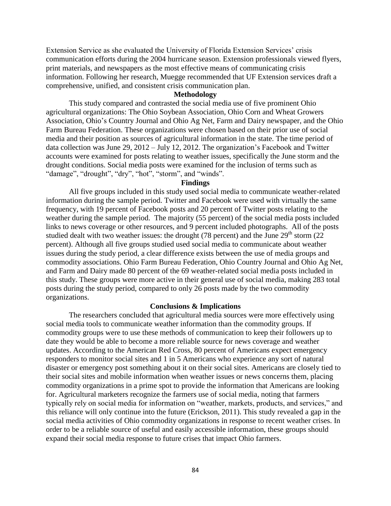Extension Service as she evaluated the University of Florida Extension Services' crisis communication efforts during the 2004 hurricane season. Extension professionals viewed flyers, print materials, and newspapers as the most effective means of communicating crisis information. Following her research, Muegge recommended that UF Extension services draft a comprehensive, unified, and consistent crisis communication plan.

### **Methodology**

This study compared and contrasted the social media use of five prominent Ohio agricultural organizations: The Ohio Soybean Association, Ohio Corn and Wheat Growers Association, Ohio's Country Journal and Ohio Ag Net, Farm and Dairy newspaper, and the Ohio Farm Bureau Federation. These organizations were chosen based on their prior use of social media and their position as sources of agricultural information in the state. The time period of data collection was June 29, 2012 – July 12, 2012. The organization's Facebook and Twitter accounts were examined for posts relating to weather issues, specifically the June storm and the drought conditions. Social media posts were examined for the inclusion of terms such as "damage", "drought", "dry", "hot", "storm", and "winds".

#### **Findings**

All five groups included in this study used social media to communicate weather-related information during the sample period. Twitter and Facebook were used with virtually the same frequency, with 19 percent of Facebook posts and 20 percent of Twitter posts relating to the weather during the sample period. The majority (55 percent) of the social media posts included links to news coverage or other resources, and 9 percent included photographs. All of the posts studied dealt with two weather issues: the drought (78 percent) and the June  $29<sup>th</sup>$  storm (22) percent). Although all five groups studied used social media to communicate about weather issues during the study period, a clear difference exists between the use of media groups and commodity associations. Ohio Farm Bureau Federation, Ohio Country Journal and Ohio Ag Net, and Farm and Dairy made 80 percent of the 69 weather-related social media posts included in this study. These groups were more active in their general use of social media, making 283 total posts during the study period, compared to only 26 posts made by the two commodity organizations.

### **Conclusions & Implications**

The researchers concluded that agricultural media sources were more effectively using social media tools to communicate weather information than the commodity groups. If commodity groups were to use these methods of communication to keep their followers up to date they would be able to become a more reliable source for news coverage and weather updates. According to the American Red Cross, 80 percent of Americans expect emergency responders to monitor social sites and 1 in 5 Americans who experience any sort of natural disaster or emergency post something about it on their social sites. Americans are closely tied to their social sites and mobile information when weather issues or news concerns them, placing commodity organizations in a prime spot to provide the information that Americans are looking for. Agricultural marketers recognize the farmers use of social media, noting that farmers typically rely on social media for information on "weather, markets, products, and services," and this reliance will only continue into the future (Erickson, 2011). This study revealed a gap in the social media activities of Ohio commodity organizations in response to recent weather crises. In order to be a reliable source of useful and easily accessible information, these groups should expand their social media response to future crises that impact Ohio farmers.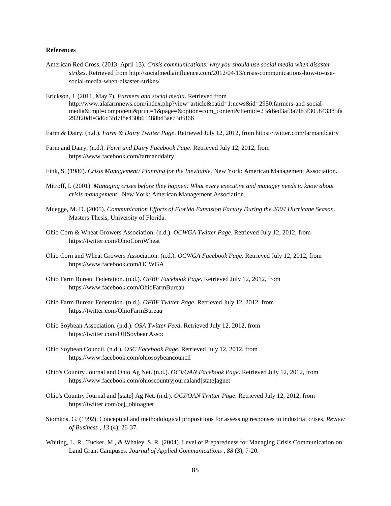- American Red Cross. (2013, April 13). *Crisis communications: why you should use social media when disaster strikes*. Retrieved from http://socialmediainfluence.com/2012/04/13/crisis-communications-how-to-usesocial-media-when-disaster-strikes/
- Erickson, J. (2011, May 7). *Farmers and social media*. Retrieved from http://www.alafarmnews.com/index.php?view=article&catid=1:news&id=2950:farmers-and-socialmedia&tmpl=component&print=1&page=&option=com\_content&Itemid=23&6ed3af3a7fb3f305843385fa 292f20df=3d6d3fd7f8e430b65488bd3ae73df866
- Farm & Dairy. (n.d.). *Farm & Dairy Twitter Page*. Retrieved July 12, 2012, from https://twitter.com/farmanddairy
- Farm and Dairy. (n.d.). *Farm and Dairy Facebook Page*. Retrieved July 12, 2012, from https://www.facebook.com/farmanddairy
- Fink, S. (1986). *Crisis Management: Planning for the Inevitable.* New York: American Management Association.
- Mitroff, I. (2001). *Managing crises before they happen: What every executive and manager needs to know about crisis management .* New York: American Management Association.
- Muegge, M. D. (2005). *Communication Efforts of Florida Extension Faculty During the 2004 Hurricane Season.* Masters Thesis, University of Florida.
- Ohio Corn & Wheat Growers Association. (n.d.). *OCWGA Twitter Page*. Retrieved July 12, 2012, from https://twitter.com/OhioCornWheat
- Ohio Corn and Wheat Growers Association. (n.d.). *OCWGA Facebook Page*. Retrieved July 12, 2012, from https://www.facebook.com/OCWGA
- Ohio Farm Bureau Federation. (n.d.). *OFBF Facebook Page*. Retrieved July 12, 2012, from https://www.facebook.com/OhioFarmBureau
- Ohio Farm Bureau Federation. (n.d.). *OFBF Twitter Page*. Retrieved July 12, 2012, from https://twitter.com/OhioFarmBureau
- Ohio Soybean Association. (n.d.). *OSA Twitter Feed*. Retrieved July 12, 2012, from https://twitter.com/OHSoybeanAssoc
- Ohio Soybean Council. (n.d.). *OSC Facebook Page*. Retrieved July 12, 2012, from https://www.facebook.com/ohiosoybeancouncil
- Ohio's Country Journal and Ohio Ag Net. (n.d.). *OCJ/OAN Facebook Page*. Retrieved July 12, 2012, from https://www.facebook.com/ohioscountryjournaland[state]agnet
- Ohio's Country Journal and [state] Ag Net. (n.d.). *OCJ/OAN Twitter Page*. Retrieved July 12, 2012, from https://twitter.com/ocj\_ohioagnet
- Siomkos, G. (1992). Conceptual and methodological propositions for assessing responses to industrial crises. *Review of Business , 13* (4), 26-37.
- Whiting, L. R., Tucker, M., & Whaley, S. R. (2004). Level of Preparedness for Managing Crisis Communication on Land Grant Campuses. *Journal of Applied Communications , 88* (3), 7-20.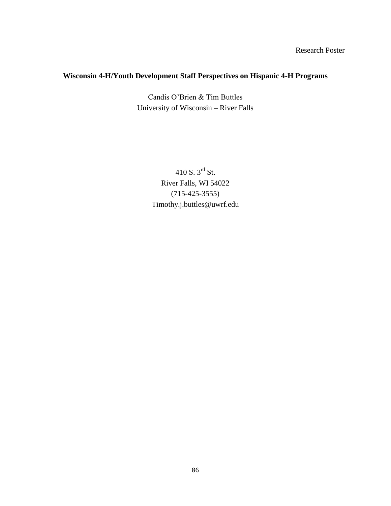Research Poster

# **Wisconsin 4-H/Youth Development Staff Perspectives on Hispanic 4-H Programs**

Candis O'Brien & Tim Buttles University of Wisconsin – River Falls

> 410 S. 3rd St. River Falls, WI 54022 (715-425-3555) Timothy.j.buttles@uwrf.edu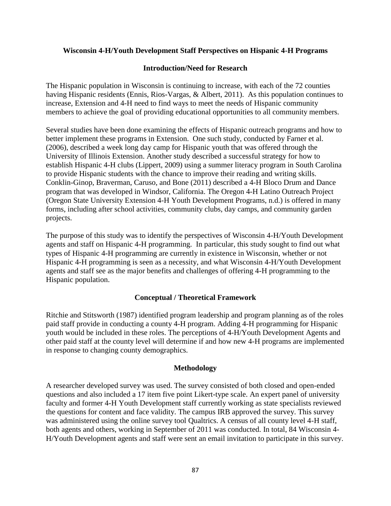### **Wisconsin 4-H/Youth Development Staff Perspectives on Hispanic 4-H Programs**

### **Introduction/Need for Research**

The Hispanic population in Wisconsin is continuing to increase, with each of the 72 counties having Hispanic residents (Ennis, Rios-Vargas, & Albert, 2011). As this population continues to increase, Extension and 4-H need to find ways to meet the needs of Hispanic community members to achieve the goal of providing educational opportunities to all community members.

Several studies have been done examining the effects of Hispanic outreach programs and how to better implement these programs in Extension. One such study, conducted by Farner et al. (2006), described a week long day camp for Hispanic youth that was offered through the University of Illinois Extension. Another study described a successful strategy for how to establish Hispanic 4-H clubs (Lippert, 2009) using a summer literacy program in South Carolina to provide Hispanic students with the chance to improve their reading and writing skills. Conklin-Ginop, Braverman, Caruso, and Bone (2011) described a 4-H Bloco Drum and Dance program that was developed in Windsor, California. The Oregon 4-H Latino Outreach Project (Oregon State University Extension 4-H Youth Development Programs, n.d.) is offered in many forms, including after school activities, community clubs, day camps, and community garden projects.

The purpose of this study was to identify the perspectives of Wisconsin 4-H/Youth Development agents and staff on Hispanic 4-H programming. In particular, this study sought to find out what types of Hispanic 4-H programming are currently in existence in Wisconsin, whether or not Hispanic 4-H programming is seen as a necessity, and what Wisconsin 4-H/Youth Development agents and staff see as the major benefits and challenges of offering 4-H programming to the Hispanic population.

### **Conceptual / Theoretical Framework**

Ritchie and Stitsworth (1987) identified program leadership and program planning as of the roles paid staff provide in conducting a county 4-H program. Adding 4-H programming for Hispanic youth would be included in these roles. The perceptions of 4-H/Youth Development Agents and other paid staff at the county level will determine if and how new 4-H programs are implemented in response to changing county demographics.

### **Methodology**

A researcher developed survey was used. The survey consisted of both closed and open-ended questions and also included a 17 item five point Likert-type scale. An expert panel of university faculty and former 4-H Youth Development staff currently working as state specialists reviewed the questions for content and face validity. The campus IRB approved the survey. This survey was administered using the online survey tool Qualtrics. A census of all county level 4-H staff, both agents and others, working in September of 2011 was conducted. In total, 84 Wisconsin 4- H/Youth Development agents and staff were sent an email invitation to participate in this survey.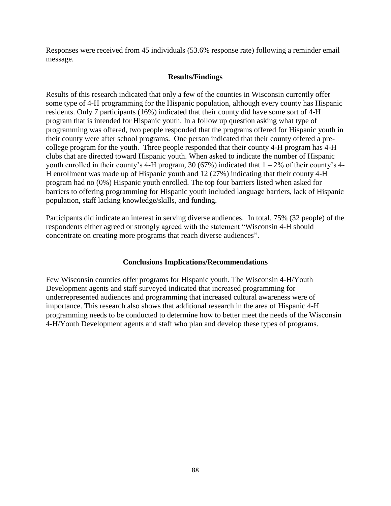Responses were received from 45 individuals (53.6% response rate) following a reminder email message.

# **Results/Findings**

Results of this research indicated that only a few of the counties in Wisconsin currently offer some type of 4-H programming for the Hispanic population, although every county has Hispanic residents. Only 7 participants (16%) indicated that their county did have some sort of 4-H program that is intended for Hispanic youth. In a follow up question asking what type of programming was offered, two people responded that the programs offered for Hispanic youth in their county were after school programs. One person indicated that their county offered a precollege program for the youth. Three people responded that their county 4-H program has 4-H clubs that are directed toward Hispanic youth. When asked to indicate the number of Hispanic youth enrolled in their county's 4-H program, 30 (67%) indicated that  $1 - 2\%$  of their county's 4-H enrollment was made up of Hispanic youth and 12 (27%) indicating that their county 4-H program had no (0%) Hispanic youth enrolled. The top four barriers listed when asked for barriers to offering programming for Hispanic youth included language barriers, lack of Hispanic population, staff lacking knowledge/skills, and funding.

Participants did indicate an interest in serving diverse audiences. In total, 75% (32 people) of the respondents either agreed or strongly agreed with the statement "Wisconsin 4-H should concentrate on creating more programs that reach diverse audiences".

### **Conclusions Implications/Recommendations**

Few Wisconsin counties offer programs for Hispanic youth. The Wisconsin 4-H/Youth Development agents and staff surveyed indicated that increased programming for underrepresented audiences and programming that increased cultural awareness were of importance. This research also shows that additional research in the area of Hispanic 4-H programming needs to be conducted to determine how to better meet the needs of the Wisconsin 4-H/Youth Development agents and staff who plan and develop these types of programs.